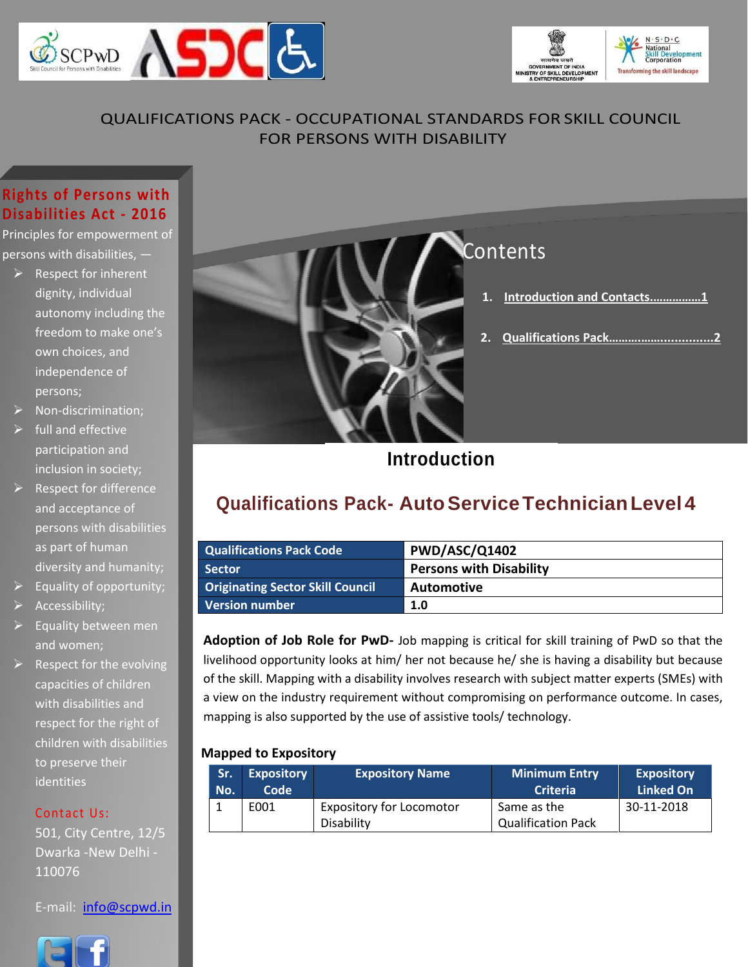



#### QUALIFICATIONS PACK - OCCUPATIONAL STANDARDS FOR SKILL COUNCIL FOR PERSONS WITH DISABILITY

#### **Rights of Persons with Disabilities Act - 2016**

Principles for empowerment of persons with disabilities, —

- $\triangleright$  Respect for inherent dignity, individual autonomy including the freedom to make one's own choices, and independence of persons;
- ➢ Non-discrimination;
- $\triangleright$  full and effective participation and inclusion in society;
- $\triangleright$  Respect for difference and acceptance of persons with disabilities as part of human diversity and humanity;
- $\triangleright$  Equality of opportunity;
- ➢ Accessibility;
- $\triangleright$  Equality between men and women;
- $\triangleright$  Respect for the evolving capacities of children with disabilities and respect for the right of children with disabilities to preserve their identities

#### Contact Us:

501, City Centre, 12/5 Dwarka -New Delhi - 110076

E-mail: [info@scpwd.in](mailto:info@scpwd.in)





## <span id="page-0-0"></span>**Introduction**

## **Qualifications Pack- AutoServiceTechnicianLevel 4**

| <b>Qualifications Pack Code</b>  | <b>PWD/ASC/Q1402</b>           |
|----------------------------------|--------------------------------|
| <b>Sector</b>                    | <b>Persons with Disability</b> |
| Originating Sector Skill Council | Automotive                     |
| <b>Version number</b>            | 1.0                            |

**Adoption of Job Role for PwD-** Job mapping is critical for skill training of PwD so that the livelihood opportunity looks at him/ her not because he/ she is having a disability but because of the skill. Mapping with a disability involves research with subject matter experts (SMEs) with a view on the industry requirement without compromising on performance outcome. In cases, mapping is also supported by the use of assistive tools/ technology.

#### **Mapped to Expository**

| <b>Sr.</b> | <b>Expository</b> | <b>Expository Name</b>                        | <b>Minimum Entry</b>                     | <b>Expository</b> |
|------------|-------------------|-----------------------------------------------|------------------------------------------|-------------------|
| No.        | <b>Code</b>       |                                               | <b>Criteria</b>                          | <b>Linked On</b>  |
|            | E001              | <b>Expository for Locomotor</b><br>Disability | Same as the<br><b>Qualification Pack</b> | 30-11-2018        |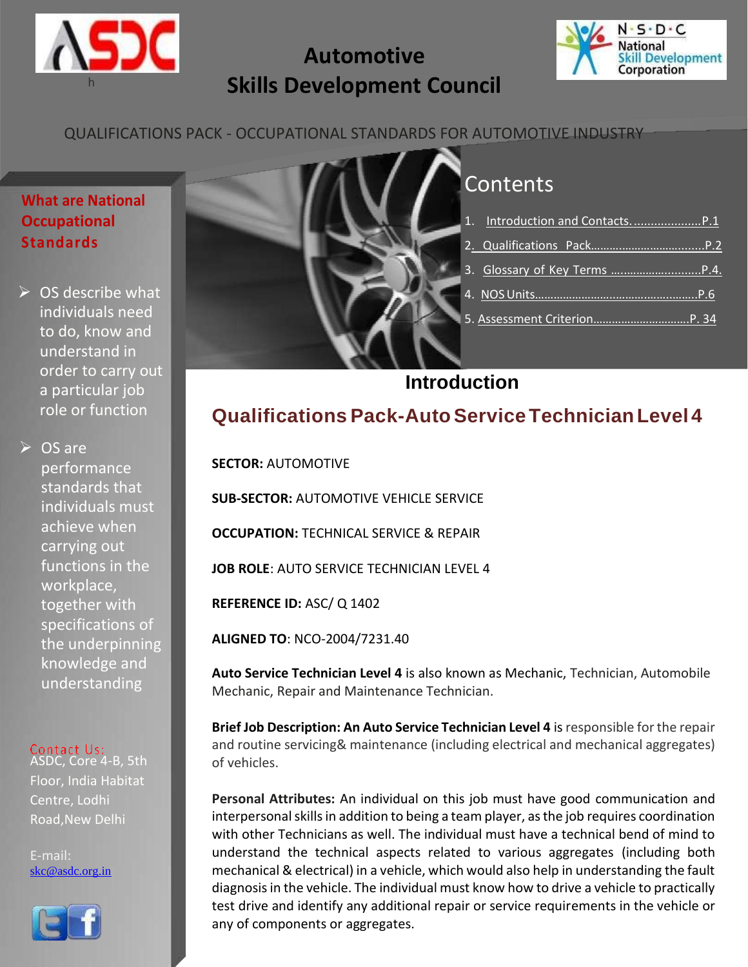

## **Automotive Skills Development Council**



#### QUALIFICATIONS PACK - OCCUPATIONAL STANDARDS FOR AUTOMOTIVE INDUSTRY

#### **What are National Occupational Standards**

 $\triangleright$  OS describe what individuals need to do, know and understand in order to carry out a particular job role or function

➢ OS are performance standards that individuals must achieve when carrying out functions in the workplace, together with specifications of the underpinning knowledge and understanding

## Contact Us:<br>ASDC, Core 4-B, 5th

Floor, India Habitat Centre, Lodhi Road,New Delhi

E-mail: [skc@asdc.org.in](mailto:skc@asdc.org.in)





## **Contents**

## **Introduction**

## <span id="page-1-0"></span>**Qualifications Pack-AutoServiceTechnicianLevel 4**

**SECTOR:** AUTOMOTIVE

**SUB-SECTOR:** AUTOMOTIVE VEHICLE SERVICE

**OCCUPATION: TECHNICAL SERVICE & REPAIR** 

**JOB ROLE**: AUTO SERVICE TECHNICIAN LEVEL 4

**REFERENCE ID:** ASC/ Q 1402

**ALIGNED TO**: NCO-2004/7231.40

**Auto Service Technician Level 4** is also known as Mechanic, Technician, Automobile Mechanic, Repair and Maintenance Technician.

**Brief Job Description: An Auto Service Technician Level 4** is responsible for the repair and routine servicing& maintenance (including electrical and mechanical aggregates) of vehicles.

**Personal Attributes:** An individual on this job must have good communication and interpersonal skills in addition to being a team player, as the job requires coordination with other Technicians as well. The individual must have a technical bend of mind to understand the technical aspects related to various aggregates (including both mechanical & electrical) in a vehicle, which would also help in understanding the fault diagnosis in the vehicle. The individual must know how to drive a vehicle to practically test drive and identify any additional repair or service requirements in the vehicle or any of components or aggregates.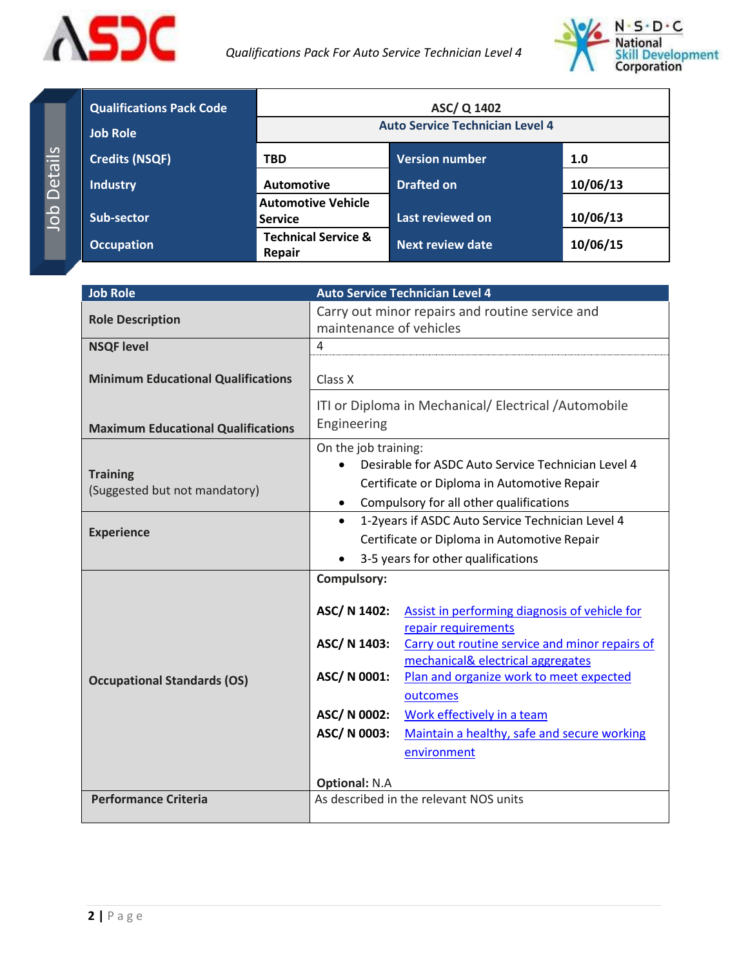



| <b>Qualifications Pack Code</b><br><b>Job Role</b> | ASC/Q 1402<br><b>Auto Service Technician Level 4</b> |                         |          |  |
|----------------------------------------------------|------------------------------------------------------|-------------------------|----------|--|
| <b>Credits (NSQF)</b>                              | <b>Version number</b><br>1.0<br><b>TBD</b>           |                         |          |  |
| <b>Industry</b>                                    | <b>Automotive</b>                                    | <b>Drafted on</b>       | 10/06/13 |  |
| Sub-sector                                         | <b>Automotive Vehicle</b><br><b>Service</b>          | Last reviewed on        | 10/06/13 |  |
| <b>Occupation</b>                                  | <b>Technical Service &amp;</b><br><b>Repair</b>      | <b>Next review date</b> | 10/06/15 |  |

| <b>Job Role</b>                                  | <b>Auto Service Technician Level 4</b>                                                                                                                                                                                                                                                                                                                                                                                                                                             |  |  |
|--------------------------------------------------|------------------------------------------------------------------------------------------------------------------------------------------------------------------------------------------------------------------------------------------------------------------------------------------------------------------------------------------------------------------------------------------------------------------------------------------------------------------------------------|--|--|
| <b>Role Description</b>                          | Carry out minor repairs and routine service and<br>maintenance of vehicles                                                                                                                                                                                                                                                                                                                                                                                                         |  |  |
| <b>NSQF level</b>                                | $\overline{4}$                                                                                                                                                                                                                                                                                                                                                                                                                                                                     |  |  |
| <b>Minimum Educational Qualifications</b>        | Class X                                                                                                                                                                                                                                                                                                                                                                                                                                                                            |  |  |
| <b>Maximum Educational Qualifications</b>        | ITI or Diploma in Mechanical/ Electrical / Automobile<br>Engineering                                                                                                                                                                                                                                                                                                                                                                                                               |  |  |
| <b>Training</b><br>(Suggested but not mandatory) | On the job training:<br>Desirable for ASDC Auto Service Technician Level 4<br>Certificate or Diploma in Automotive Repair<br>Compulsory for all other qualifications<br>$\bullet$                                                                                                                                                                                                                                                                                                  |  |  |
| <b>Experience</b>                                | 1-2years if ASDC Auto Service Technician Level 4<br>$\bullet$<br>Certificate or Diploma in Automotive Repair                                                                                                                                                                                                                                                                                                                                                                       |  |  |
| <b>Occupational Standards (OS)</b>               | 3-5 years for other qualifications<br><b>Compulsory:</b><br>ASC/ N 1402:<br>Assist in performing diagnosis of vehicle for<br>repair requirements<br>ASC/ N 1403:<br>Carry out routine service and minor repairs of<br>mechanical& electrical aggregates<br>ASC/ N 0001:<br>Plan and organize work to meet expected<br>outcomes<br>ASC/ N 0002:<br>Work effectively in a team<br>ASC/ N 0003:<br>Maintain a healthy, safe and secure working<br>environment<br><b>Optional: N.A</b> |  |  |
| <b>Performance Criteria</b>                      | As described in the relevant NOS units                                                                                                                                                                                                                                                                                                                                                                                                                                             |  |  |
|                                                  |                                                                                                                                                                                                                                                                                                                                                                                                                                                                                    |  |  |

Job Details Job Details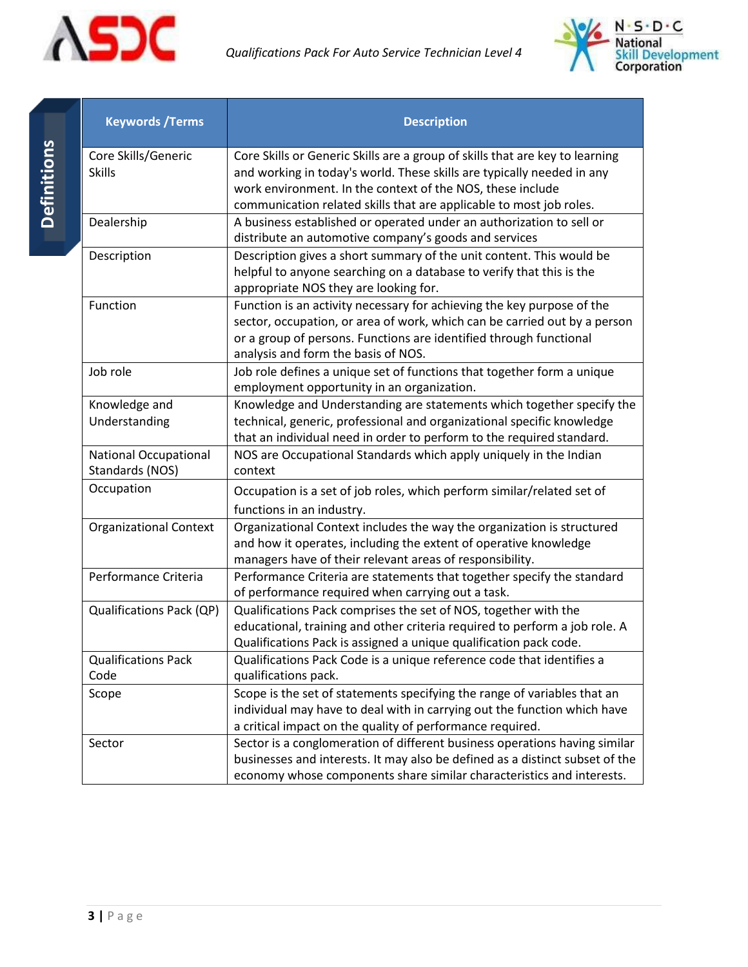



<span id="page-3-0"></span>

| <b>Keywords / Terms</b>                         | <b>Description</b>                                                                                                            |  |  |
|-------------------------------------------------|-------------------------------------------------------------------------------------------------------------------------------|--|--|
| Core Skills/Generic                             | Core Skills or Generic Skills are a group of skills that are key to learning                                                  |  |  |
| <b>Skills</b>                                   | and working in today's world. These skills are typically needed in any                                                        |  |  |
|                                                 | work environment. In the context of the NOS, these include                                                                    |  |  |
|                                                 | communication related skills that are applicable to most job roles.                                                           |  |  |
| Dealership                                      | A business established or operated under an authorization to sell or<br>distribute an automotive company's goods and services |  |  |
| Description                                     | Description gives a short summary of the unit content. This would be                                                          |  |  |
|                                                 | helpful to anyone searching on a database to verify that this is the                                                          |  |  |
|                                                 | appropriate NOS they are looking for.                                                                                         |  |  |
| Function                                        | Function is an activity necessary for achieving the key purpose of the                                                        |  |  |
|                                                 | sector, occupation, or area of work, which can be carried out by a person                                                     |  |  |
|                                                 | or a group of persons. Functions are identified through functional                                                            |  |  |
| Job role                                        | analysis and form the basis of NOS.<br>Job role defines a unique set of functions that together form a unique                 |  |  |
|                                                 | employment opportunity in an organization.                                                                                    |  |  |
| Knowledge and                                   | Knowledge and Understanding are statements which together specify the                                                         |  |  |
| Understanding                                   | technical, generic, professional and organizational specific knowledge                                                        |  |  |
|                                                 | that an individual need in order to perform to the required standard.                                                         |  |  |
| <b>National Occupational</b><br>Standards (NOS) | NOS are Occupational Standards which apply uniquely in the Indian<br>context                                                  |  |  |
| Occupation                                      | Occupation is a set of job roles, which perform similar/related set of                                                        |  |  |
|                                                 | functions in an industry.                                                                                                     |  |  |
| <b>Organizational Context</b>                   | Organizational Context includes the way the organization is structured                                                        |  |  |
|                                                 | and how it operates, including the extent of operative knowledge                                                              |  |  |
|                                                 | managers have of their relevant areas of responsibility.                                                                      |  |  |
| Performance Criteria                            | Performance Criteria are statements that together specify the standard                                                        |  |  |
|                                                 | of performance required when carrying out a task.                                                                             |  |  |
| Qualifications Pack (QP)                        | Qualifications Pack comprises the set of NOS, together with the                                                               |  |  |
|                                                 | educational, training and other criteria required to perform a job role. A                                                    |  |  |
|                                                 | Qualifications Pack is assigned a unique qualification pack code.                                                             |  |  |
| <b>Qualifications Pack</b><br>Code              | Qualifications Pack Code is a unique reference code that identifies a<br>qualifications pack.                                 |  |  |
| Scope                                           | Scope is the set of statements specifying the range of variables that an                                                      |  |  |
|                                                 | individual may have to deal with in carrying out the function which have                                                      |  |  |
|                                                 | a critical impact on the quality of performance required.                                                                     |  |  |
| Sector                                          | Sector is a conglomeration of different business operations having similar                                                    |  |  |
|                                                 | businesses and interests. It may also be defined as a distinct subset of the                                                  |  |  |
|                                                 | economy whose components share similar characteristics and interests.                                                         |  |  |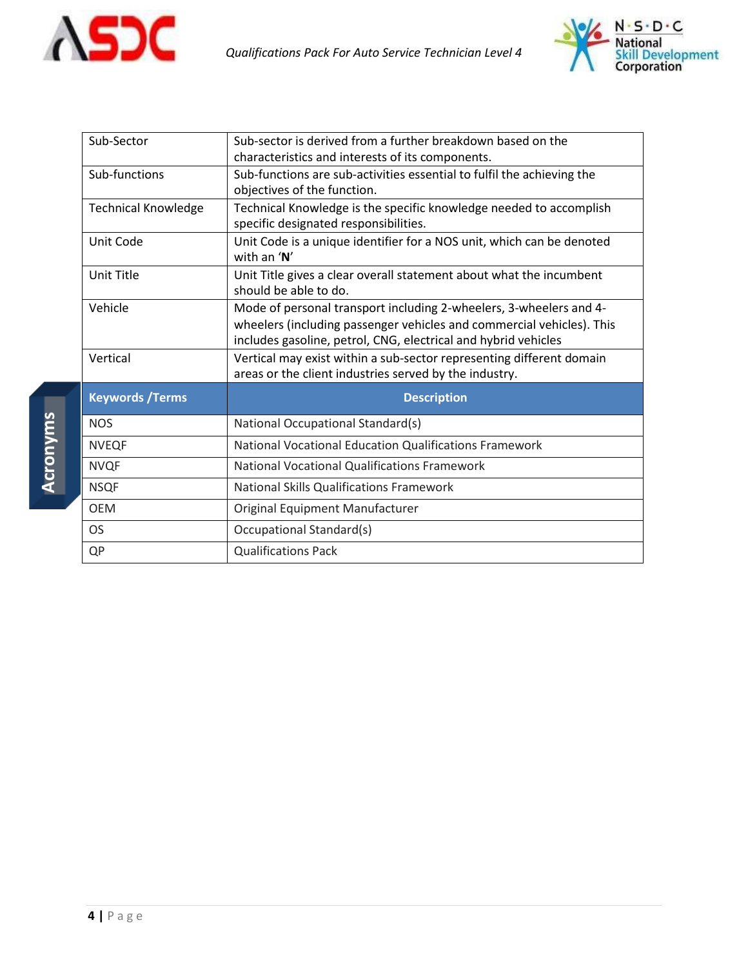



| Sub-Sector                 | Sub-sector is derived from a further breakdown based on the<br>characteristics and interests of its components.                                                                                               |  |
|----------------------------|---------------------------------------------------------------------------------------------------------------------------------------------------------------------------------------------------------------|--|
| Sub-functions              | Sub-functions are sub-activities essential to fulfil the achieving the<br>objectives of the function.                                                                                                         |  |
| <b>Technical Knowledge</b> | Technical Knowledge is the specific knowledge needed to accomplish<br>specific designated responsibilities.                                                                                                   |  |
| Unit Code                  | Unit Code is a unique identifier for a NOS unit, which can be denoted<br>with an $'N'$                                                                                                                        |  |
| Unit Title                 | Unit Title gives a clear overall statement about what the incumbent<br>should be able to do.                                                                                                                  |  |
| Vehicle                    | Mode of personal transport including 2-wheelers, 3-wheelers and 4-<br>wheelers (including passenger vehicles and commercial vehicles). This<br>includes gasoline, petrol, CNG, electrical and hybrid vehicles |  |
|                            |                                                                                                                                                                                                               |  |
| Vertical                   | Vertical may exist within a sub-sector representing different domain<br>areas or the client industries served by the industry.                                                                                |  |
| <b>Keywords / Terms</b>    | <b>Description</b>                                                                                                                                                                                            |  |
| <b>NOS</b>                 | National Occupational Standard(s)                                                                                                                                                                             |  |
| <b>NVEQF</b>               | <b>National Vocational Education Qualifications Framework</b>                                                                                                                                                 |  |
| <b>NVQF</b>                | <b>National Vocational Qualifications Framework</b>                                                                                                                                                           |  |
| <b>NSQF</b>                | <b>National Skills Qualifications Framework</b>                                                                                                                                                               |  |
| <b>OEM</b>                 | Original Equipment Manufacturer                                                                                                                                                                               |  |
| <b>OS</b>                  | <b>Occupational Standard(s)</b>                                                                                                                                                                               |  |

**4 |** P a g e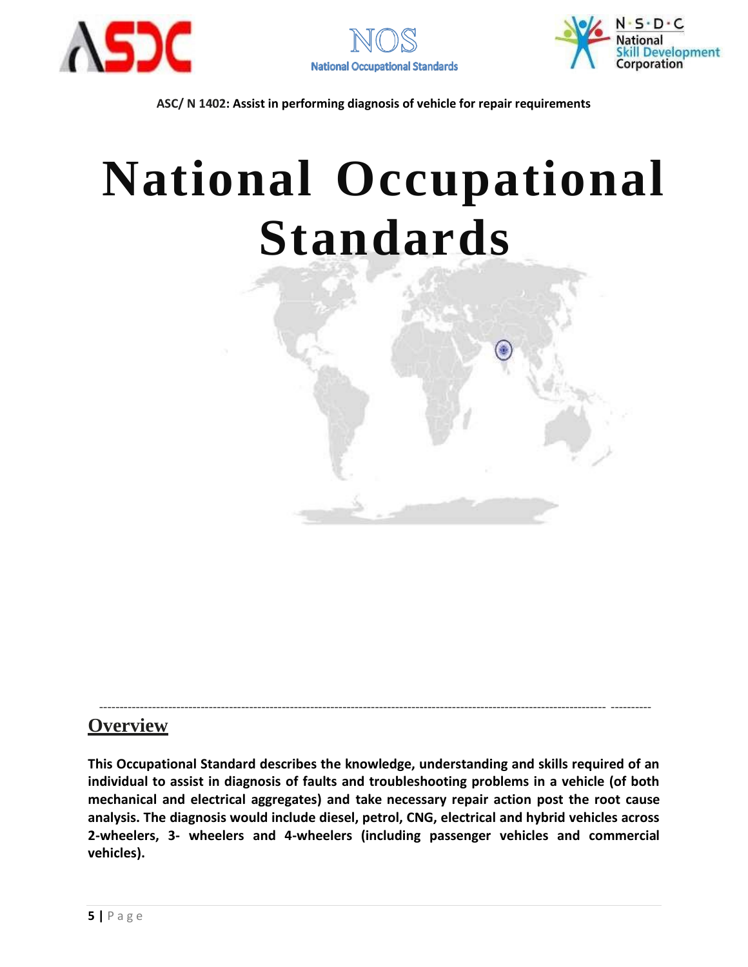





## <span id="page-5-0"></span>**National Occupational Standards**



### **Overview**

**This Occupational Standard describes the knowledge, understanding and skills required of an individual to assist in diagnosis of faults and troubleshooting problems in a vehicle (of both mechanical and electrical aggregates) and take necessary repair action post the root cause analysis. The diagnosis would include diesel, petrol, CNG, electrical and hybrid vehicles across 2-wheelers, 3- wheelers and 4-wheelers (including passenger vehicles and commercial vehicles).**

----------------------------------------------------------------------------------------------------------------------------- ----------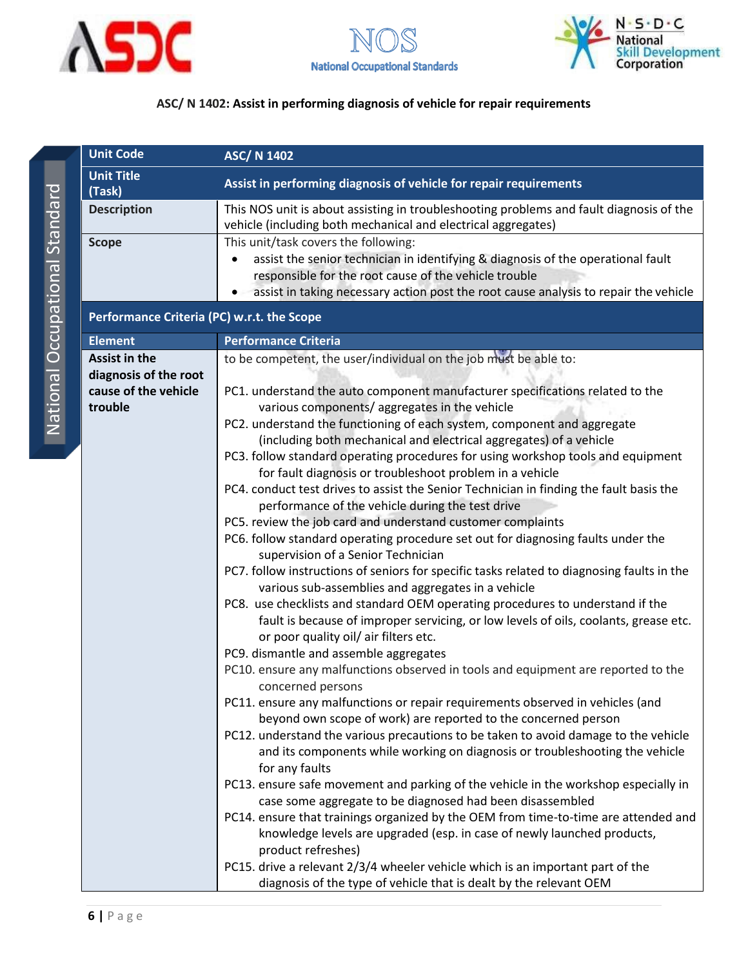





<span id="page-6-0"></span>

|              | <b>Unit Code</b>                              | <b>ASC/ N 1402</b>                                                                                                                                                                                                                                                                                                                                                                                                                                                                                                                                                                                                                                                                                                                                                                                                                                                                                                                                                                                                                                                                                                                                                                                                                                                                                                                                                                                                                                                                                                                                                                                                                                                                                                                                                                                                                                                                                                                                                                                                                                                                                                                                 |
|--------------|-----------------------------------------------|----------------------------------------------------------------------------------------------------------------------------------------------------------------------------------------------------------------------------------------------------------------------------------------------------------------------------------------------------------------------------------------------------------------------------------------------------------------------------------------------------------------------------------------------------------------------------------------------------------------------------------------------------------------------------------------------------------------------------------------------------------------------------------------------------------------------------------------------------------------------------------------------------------------------------------------------------------------------------------------------------------------------------------------------------------------------------------------------------------------------------------------------------------------------------------------------------------------------------------------------------------------------------------------------------------------------------------------------------------------------------------------------------------------------------------------------------------------------------------------------------------------------------------------------------------------------------------------------------------------------------------------------------------------------------------------------------------------------------------------------------------------------------------------------------------------------------------------------------------------------------------------------------------------------------------------------------------------------------------------------------------------------------------------------------------------------------------------------------------------------------------------------------|
| (Task)       | <b>Unit Title</b>                             | Assist in performing diagnosis of vehicle for repair requirements                                                                                                                                                                                                                                                                                                                                                                                                                                                                                                                                                                                                                                                                                                                                                                                                                                                                                                                                                                                                                                                                                                                                                                                                                                                                                                                                                                                                                                                                                                                                                                                                                                                                                                                                                                                                                                                                                                                                                                                                                                                                                  |
|              | <b>Description</b>                            | This NOS unit is about assisting in troubleshooting problems and fault diagnosis of the<br>vehicle (including both mechanical and electrical aggregates)                                                                                                                                                                                                                                                                                                                                                                                                                                                                                                                                                                                                                                                                                                                                                                                                                                                                                                                                                                                                                                                                                                                                                                                                                                                                                                                                                                                                                                                                                                                                                                                                                                                                                                                                                                                                                                                                                                                                                                                           |
| <b>Scope</b> |                                               | This unit/task covers the following:<br>assist the senior technician in identifying & diagnosis of the operational fault<br>responsible for the root cause of the vehicle trouble<br>assist in taking necessary action post the root cause analysis to repair the vehicle                                                                                                                                                                                                                                                                                                                                                                                                                                                                                                                                                                                                                                                                                                                                                                                                                                                                                                                                                                                                                                                                                                                                                                                                                                                                                                                                                                                                                                                                                                                                                                                                                                                                                                                                                                                                                                                                          |
|              | Performance Criteria (PC) w.r.t. the Scope    |                                                                                                                                                                                                                                                                                                                                                                                                                                                                                                                                                                                                                                                                                                                                                                                                                                                                                                                                                                                                                                                                                                                                                                                                                                                                                                                                                                                                                                                                                                                                                                                                                                                                                                                                                                                                                                                                                                                                                                                                                                                                                                                                                    |
|              | <b>Element</b>                                | <b>Performance Criteria</b>                                                                                                                                                                                                                                                                                                                                                                                                                                                                                                                                                                                                                                                                                                                                                                                                                                                                                                                                                                                                                                                                                                                                                                                                                                                                                                                                                                                                                                                                                                                                                                                                                                                                                                                                                                                                                                                                                                                                                                                                                                                                                                                        |
|              | <b>Assist in the</b><br>diagnosis of the root | to be competent, the user/individual on the job must be able to:                                                                                                                                                                                                                                                                                                                                                                                                                                                                                                                                                                                                                                                                                                                                                                                                                                                                                                                                                                                                                                                                                                                                                                                                                                                                                                                                                                                                                                                                                                                                                                                                                                                                                                                                                                                                                                                                                                                                                                                                                                                                                   |
|              | cause of the vehicle<br>trouble               | PC1. understand the auto component manufacturer specifications related to the<br>various components/aggregates in the vehicle<br>PC2. understand the functioning of each system, component and aggregate<br>(including both mechanical and electrical aggregates) of a vehicle<br>PC3. follow standard operating procedures for using workshop tools and equipment<br>for fault diagnosis or troubleshoot problem in a vehicle<br>PC4. conduct test drives to assist the Senior Technician in finding the fault basis the<br>performance of the vehicle during the test drive<br>PC5. review the job card and understand customer complaints<br>PC6. follow standard operating procedure set out for diagnosing faults under the<br>supervision of a Senior Technician<br>PC7. follow instructions of seniors for specific tasks related to diagnosing faults in the<br>various sub-assemblies and aggregates in a vehicle<br>PC8. use checklists and standard OEM operating procedures to understand if the<br>fault is because of improper servicing, or low levels of oils, coolants, grease etc.<br>or poor quality oil/ air filters etc.<br>PC9. dismantle and assemble aggregates<br>PC10. ensure any malfunctions observed in tools and equipment are reported to the<br>concerned persons<br>PC11. ensure any malfunctions or repair requirements observed in vehicles (and<br>beyond own scope of work) are reported to the concerned person<br>PC12. understand the various precautions to be taken to avoid damage to the vehicle<br>and its components while working on diagnosis or troubleshooting the vehicle<br>for any faults<br>PC13. ensure safe movement and parking of the vehicle in the workshop especially in<br>case some aggregate to be diagnosed had been disassembled<br>PC14. ensure that trainings organized by the OEM from time-to-time are attended and<br>knowledge levels are upgraded (esp. in case of newly launched products,<br>product refreshes)<br>PC15. drive a relevant 2/3/4 wheeler vehicle which is an important part of the<br>diagnosis of the type of vehicle that is dealt by the relevant OEM |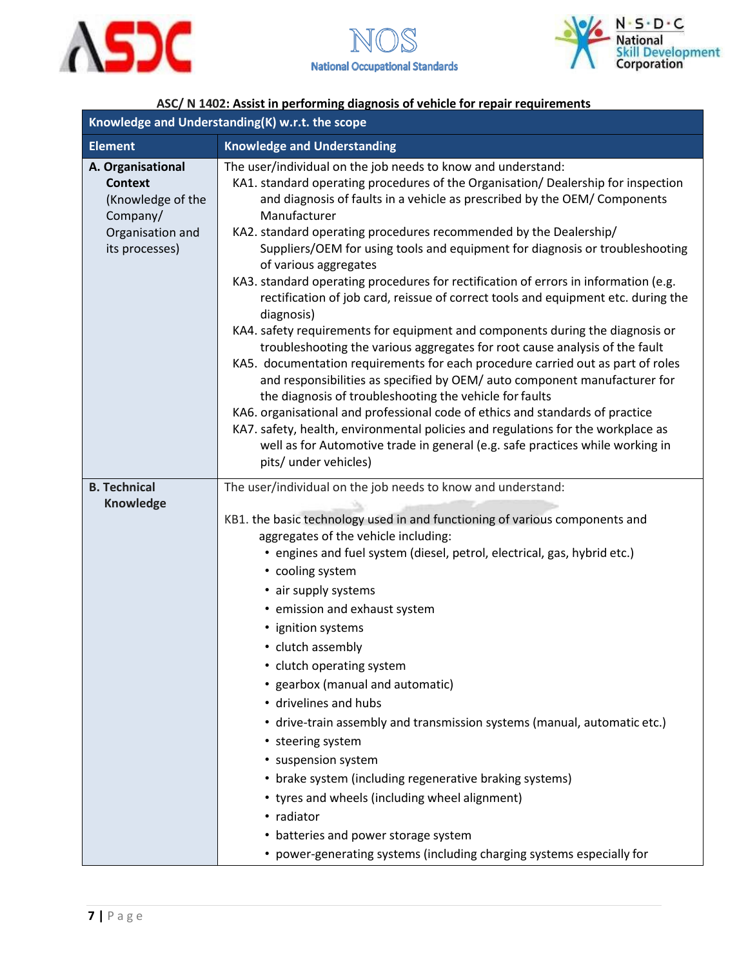



| Knowledge and Understanding(K) w.r.t. the scope                                                            |                                                                                                                                                                                                                                                                                                                                                                                                                                                                                                                                                                                                                                                                                                                                                                                                                                                                                                                                                                                                                                                                                                                                                                                                                                                                                                  |  |
|------------------------------------------------------------------------------------------------------------|--------------------------------------------------------------------------------------------------------------------------------------------------------------------------------------------------------------------------------------------------------------------------------------------------------------------------------------------------------------------------------------------------------------------------------------------------------------------------------------------------------------------------------------------------------------------------------------------------------------------------------------------------------------------------------------------------------------------------------------------------------------------------------------------------------------------------------------------------------------------------------------------------------------------------------------------------------------------------------------------------------------------------------------------------------------------------------------------------------------------------------------------------------------------------------------------------------------------------------------------------------------------------------------------------|--|
| <b>Element</b>                                                                                             | <b>Knowledge and Understanding</b>                                                                                                                                                                                                                                                                                                                                                                                                                                                                                                                                                                                                                                                                                                                                                                                                                                                                                                                                                                                                                                                                                                                                                                                                                                                               |  |
| A. Organisational<br><b>Context</b><br>(Knowledge of the<br>Company/<br>Organisation and<br>its processes) | The user/individual on the job needs to know and understand:<br>KA1. standard operating procedures of the Organisation/ Dealership for inspection<br>and diagnosis of faults in a vehicle as prescribed by the OEM/ Components<br>Manufacturer<br>KA2. standard operating procedures recommended by the Dealership/<br>Suppliers/OEM for using tools and equipment for diagnosis or troubleshooting<br>of various aggregates<br>KA3. standard operating procedures for rectification of errors in information (e.g.<br>rectification of job card, reissue of correct tools and equipment etc. during the<br>diagnosis)<br>KA4. safety requirements for equipment and components during the diagnosis or<br>troubleshooting the various aggregates for root cause analysis of the fault<br>KA5. documentation requirements for each procedure carried out as part of roles<br>and responsibilities as specified by OEM/ auto component manufacturer for<br>the diagnosis of troubleshooting the vehicle for faults<br>KA6. organisational and professional code of ethics and standards of practice<br>KA7. safety, health, environmental policies and regulations for the workplace as<br>well as for Automotive trade in general (e.g. safe practices while working in<br>pits/ under vehicles) |  |
| <b>B. Technical</b><br>Knowledge                                                                           | The user/individual on the job needs to know and understand:<br>KB1. the basic technology used in and functioning of various components and<br>aggregates of the vehicle including:<br>• engines and fuel system (diesel, petrol, electrical, gas, hybrid etc.)<br>• cooling system<br>• air supply systems<br>• emission and exhaust system<br>• ignition systems<br>• clutch assembly<br>• clutch operating system<br>• gearbox (manual and automatic)<br>• drivelines and hubs<br>• drive-train assembly and transmission systems (manual, automatic etc.)<br>• steering system<br>• suspension system<br>• brake system (including regenerative braking systems)<br>• tyres and wheels (including wheel alignment)<br>• radiator<br>• batteries and power storage system<br>• power-generating systems (including charging systems especially for                                                                                                                                                                                                                                                                                                                                                                                                                                            |  |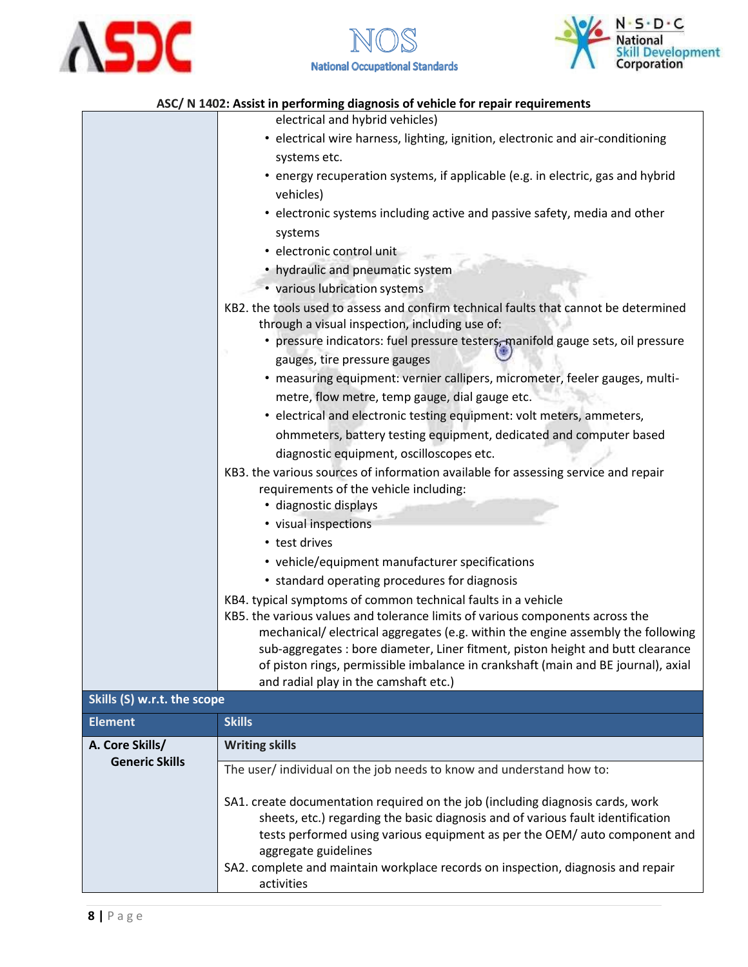





|                                                | electrical and hybrid vehicles)                                                                                                                               |  |
|------------------------------------------------|---------------------------------------------------------------------------------------------------------------------------------------------------------------|--|
|                                                | • electrical wire harness, lighting, ignition, electronic and air-conditioning                                                                                |  |
|                                                | systems etc.                                                                                                                                                  |  |
|                                                | • energy recuperation systems, if applicable (e.g. in electric, gas and hybrid                                                                                |  |
|                                                | vehicles)                                                                                                                                                     |  |
|                                                | • electronic systems including active and passive safety, media and other                                                                                     |  |
|                                                | systems                                                                                                                                                       |  |
|                                                | · electronic control unit                                                                                                                                     |  |
|                                                | • hydraulic and pneumatic system                                                                                                                              |  |
|                                                | • various lubrication systems                                                                                                                                 |  |
|                                                | KB2. the tools used to assess and confirm technical faults that cannot be determined                                                                          |  |
|                                                | through a visual inspection, including use of:                                                                                                                |  |
|                                                | • pressure indicators: fuel pressure testers, manifold gauge sets, oil pressure<br>gauges, tire pressure gauges                                               |  |
|                                                | • measuring equipment: vernier callipers, micrometer, feeler gauges, multi-                                                                                   |  |
| metre, flow metre, temp gauge, dial gauge etc. |                                                                                                                                                               |  |
|                                                | • electrical and electronic testing equipment: volt meters, ammeters,                                                                                         |  |
|                                                | ohmmeters, battery testing equipment, dedicated and computer based                                                                                            |  |
|                                                | diagnostic equipment, oscilloscopes etc.                                                                                                                      |  |
|                                                | KB3. the various sources of information available for assessing service and repair                                                                            |  |
|                                                | requirements of the vehicle including:                                                                                                                        |  |
|                                                | · diagnostic displays                                                                                                                                         |  |
|                                                | • visual inspections                                                                                                                                          |  |
|                                                | • test drives                                                                                                                                                 |  |
|                                                | • vehicle/equipment manufacturer specifications                                                                                                               |  |
|                                                | • standard operating procedures for diagnosis                                                                                                                 |  |
|                                                | KB4. typical symptoms of common technical faults in a vehicle                                                                                                 |  |
|                                                | KB5. the various values and tolerance limits of various components across the                                                                                 |  |
|                                                | mechanical/electrical aggregates (e.g. within the engine assembly the following                                                                               |  |
|                                                | sub-aggregates : bore diameter, Liner fitment, piston height and butt clearance                                                                               |  |
|                                                | of piston rings, permissible imbalance in crankshaft (main and BE journal), axial                                                                             |  |
| Skills (S) w.r.t. the scope                    | and radial play in the camshaft etc.)                                                                                                                         |  |
|                                                | <b>Skills</b>                                                                                                                                                 |  |
| <b>Element</b>                                 |                                                                                                                                                               |  |
| A. Core Skills/<br><b>Generic Skills</b>       | <b>Writing skills</b>                                                                                                                                         |  |
|                                                | The user/individual on the job needs to know and understand how to:                                                                                           |  |
|                                                | SA1. create documentation required on the job (including diagnosis cards, work                                                                                |  |
|                                                | sheets, etc.) regarding the basic diagnosis and of various fault identification<br>tests performed using various equipment as per the OEM/ auto component and |  |
|                                                | aggregate guidelines                                                                                                                                          |  |
|                                                | SA2. complete and maintain workplace records on inspection, diagnosis and repair                                                                              |  |
|                                                | activities                                                                                                                                                    |  |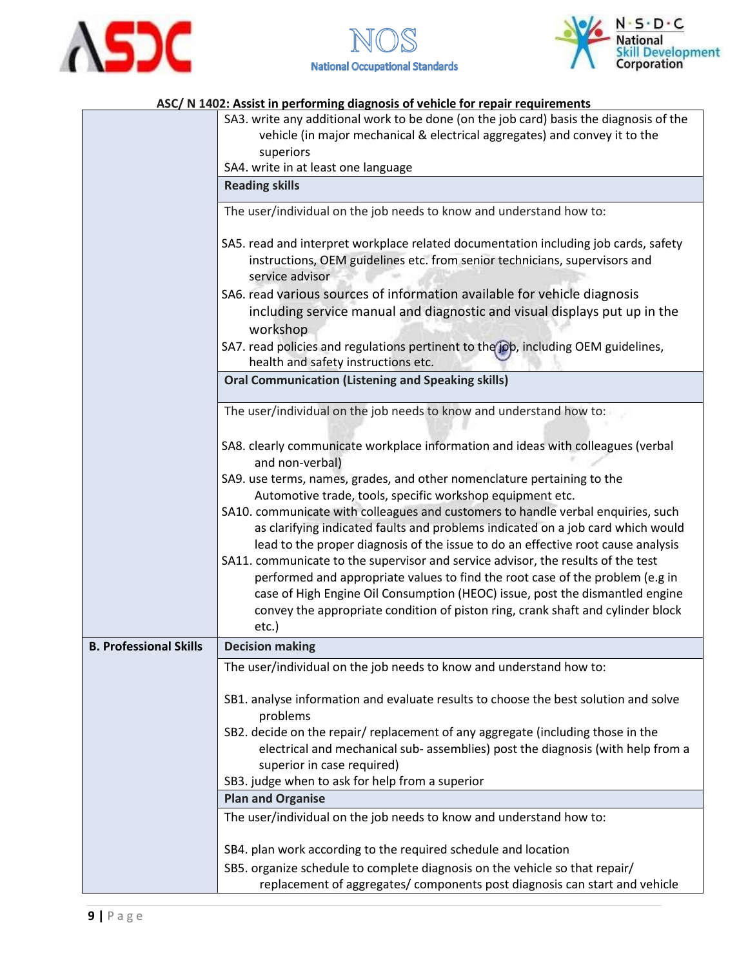





|                                                                                                                                                                   | ASC/ N 1402: Assist in performing diagnosis of vehicle for repair requirements                                                                                                                                                                                                                                                                                                                                                                                                                                                                                                                           |  |  |  |
|-------------------------------------------------------------------------------------------------------------------------------------------------------------------|----------------------------------------------------------------------------------------------------------------------------------------------------------------------------------------------------------------------------------------------------------------------------------------------------------------------------------------------------------------------------------------------------------------------------------------------------------------------------------------------------------------------------------------------------------------------------------------------------------|--|--|--|
|                                                                                                                                                                   | SA3. write any additional work to be done (on the job card) basis the diagnosis of the<br>vehicle (in major mechanical & electrical aggregates) and convey it to the<br>superiors                                                                                                                                                                                                                                                                                                                                                                                                                        |  |  |  |
|                                                                                                                                                                   | SA4. write in at least one language                                                                                                                                                                                                                                                                                                                                                                                                                                                                                                                                                                      |  |  |  |
|                                                                                                                                                                   | <b>Reading skills</b>                                                                                                                                                                                                                                                                                                                                                                                                                                                                                                                                                                                    |  |  |  |
|                                                                                                                                                                   | The user/individual on the job needs to know and understand how to:                                                                                                                                                                                                                                                                                                                                                                                                                                                                                                                                      |  |  |  |
|                                                                                                                                                                   | SA5. read and interpret workplace related documentation including job cards, safety<br>instructions, OEM guidelines etc. from senior technicians, supervisors and<br>service advisor                                                                                                                                                                                                                                                                                                                                                                                                                     |  |  |  |
| SA6. read various sources of information available for vehicle diagnosis<br>including service manual and diagnostic and visual displays put up in the<br>workshop |                                                                                                                                                                                                                                                                                                                                                                                                                                                                                                                                                                                                          |  |  |  |
|                                                                                                                                                                   | SA7. read policies and regulations pertinent to the job, including OEM guidelines,<br>health and safety instructions etc.                                                                                                                                                                                                                                                                                                                                                                                                                                                                                |  |  |  |
|                                                                                                                                                                   | <b>Oral Communication (Listening and Speaking skills)</b>                                                                                                                                                                                                                                                                                                                                                                                                                                                                                                                                                |  |  |  |
|                                                                                                                                                                   | The user/individual on the job needs to know and understand how to:                                                                                                                                                                                                                                                                                                                                                                                                                                                                                                                                      |  |  |  |
|                                                                                                                                                                   | SA8. clearly communicate workplace information and ideas with colleagues (verbal<br>and non-verbal)                                                                                                                                                                                                                                                                                                                                                                                                                                                                                                      |  |  |  |
|                                                                                                                                                                   | SA9. use terms, names, grades, and other nomenclature pertaining to the                                                                                                                                                                                                                                                                                                                                                                                                                                                                                                                                  |  |  |  |
|                                                                                                                                                                   | Automotive trade, tools, specific workshop equipment etc.                                                                                                                                                                                                                                                                                                                                                                                                                                                                                                                                                |  |  |  |
|                                                                                                                                                                   | SA10. communicate with colleagues and customers to handle verbal enquiries, such<br>as clarifying indicated faults and problems indicated on a job card which would<br>lead to the proper diagnosis of the issue to do an effective root cause analysis<br>SA11. communicate to the supervisor and service advisor, the results of the test<br>performed and appropriate values to find the root case of the problem (e.g in<br>case of High Engine Oil Consumption (HEOC) issue, post the dismantled engine<br>convey the appropriate condition of piston ring, crank shaft and cylinder block<br>etc.) |  |  |  |
| <b>B. Professional Skills</b>                                                                                                                                     |                                                                                                                                                                                                                                                                                                                                                                                                                                                                                                                                                                                                          |  |  |  |
|                                                                                                                                                                   | <b>Decision making</b>                                                                                                                                                                                                                                                                                                                                                                                                                                                                                                                                                                                   |  |  |  |
|                                                                                                                                                                   | The user/individual on the job needs to know and understand how to:                                                                                                                                                                                                                                                                                                                                                                                                                                                                                                                                      |  |  |  |
|                                                                                                                                                                   | SB1. analyse information and evaluate results to choose the best solution and solve<br>problems                                                                                                                                                                                                                                                                                                                                                                                                                                                                                                          |  |  |  |
|                                                                                                                                                                   | SB2. decide on the repair/ replacement of any aggregate (including those in the                                                                                                                                                                                                                                                                                                                                                                                                                                                                                                                          |  |  |  |
|                                                                                                                                                                   | electrical and mechanical sub- assemblies) post the diagnosis (with help from a                                                                                                                                                                                                                                                                                                                                                                                                                                                                                                                          |  |  |  |
|                                                                                                                                                                   | superior in case required)                                                                                                                                                                                                                                                                                                                                                                                                                                                                                                                                                                               |  |  |  |
|                                                                                                                                                                   | SB3. judge when to ask for help from a superior                                                                                                                                                                                                                                                                                                                                                                                                                                                                                                                                                          |  |  |  |
|                                                                                                                                                                   | <b>Plan and Organise</b>                                                                                                                                                                                                                                                                                                                                                                                                                                                                                                                                                                                 |  |  |  |
|                                                                                                                                                                   | The user/individual on the job needs to know and understand how to:                                                                                                                                                                                                                                                                                                                                                                                                                                                                                                                                      |  |  |  |
|                                                                                                                                                                   | SB4. plan work according to the required schedule and location                                                                                                                                                                                                                                                                                                                                                                                                                                                                                                                                           |  |  |  |
|                                                                                                                                                                   | SB5. organize schedule to complete diagnosis on the vehicle so that repair/                                                                                                                                                                                                                                                                                                                                                                                                                                                                                                                              |  |  |  |
|                                                                                                                                                                   | replacement of aggregates/ components post diagnosis can start and vehicle                                                                                                                                                                                                                                                                                                                                                                                                                                                                                                                               |  |  |  |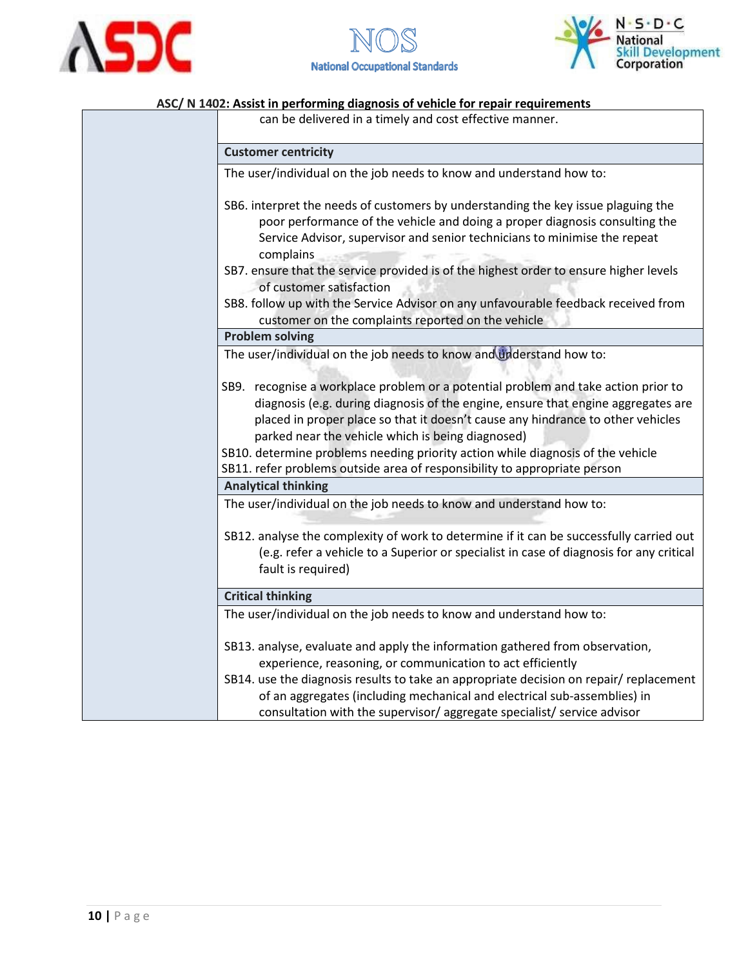





can be delivered in a timely and cost effective manner.

### **Customer centricity** The user/individual on the job needs to know and understand how to: SB6. interpret the needs of customers by understanding the key issue plaguing the poor performance of the vehicle and doing a proper diagnosis consulting the Service Advisor, supervisor and senior technicians to minimise the repeat complains SB7. ensure that the service provided is of the highest order to ensure higher levels of customer satisfaction SB8. follow up with the Service Advisor on any unfavourable feedback received from customer on the complaints reported on the vehicle **Problem solving** The user/individual on the job needs to know and understand how to: SB9. recognise a workplace problem or a potential problem and take action prior to diagnosis (e.g. during diagnosis of the engine, ensure that engine aggregates are placed in proper place so that it doesn't cause any hindrance to other vehicles parked near the vehicle which is being diagnosed) SB10. determine problems needing priority action while diagnosis of the vehicle SB11. refer problems outside area of responsibility to appropriate person **Analytical thinking** The user/individual on the job needs to know and understand how to:

SB12. analyse the complexity of work to determine if it can be successfully carried out (e.g. refer a vehicle to a Superior or specialist in case of diagnosis for any critical fault is required)

#### **Critical thinking**

The user/individual on the job needs to know and understand how to:

- SB13. analyse, evaluate and apply the information gathered from observation, experience, reasoning, or communication to act efficiently
- SB14. use the diagnosis results to take an appropriate decision on repair/ replacement of an aggregates (including mechanical and electrical sub-assemblies) in consultation with the supervisor/ aggregate specialist/ service advisor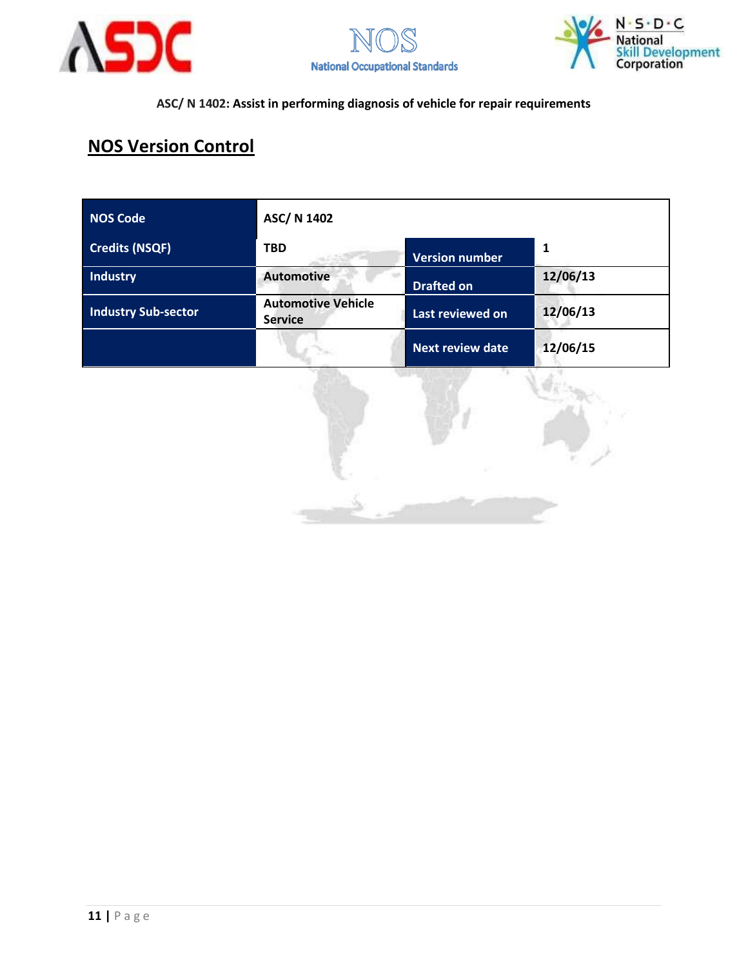





## **NOS Version Control**

| <b>NOS Code</b>            | ASC/ N 1402                                 |                         |          |
|----------------------------|---------------------------------------------|-------------------------|----------|
| <b>Credits (NSQF)</b>      | <b>TBD</b>                                  | <b>Version number</b>   | 1        |
| <b>Industry</b>            | <b>Automotive</b>                           | <b>Drafted on</b>       | 12/06/13 |
| <b>Industry Sub-sector</b> | <b>Automotive Vehicle</b><br><b>Service</b> | Last reviewed on        | 12/06/13 |
|                            |                                             | <b>Next review date</b> | 12/06/15 |

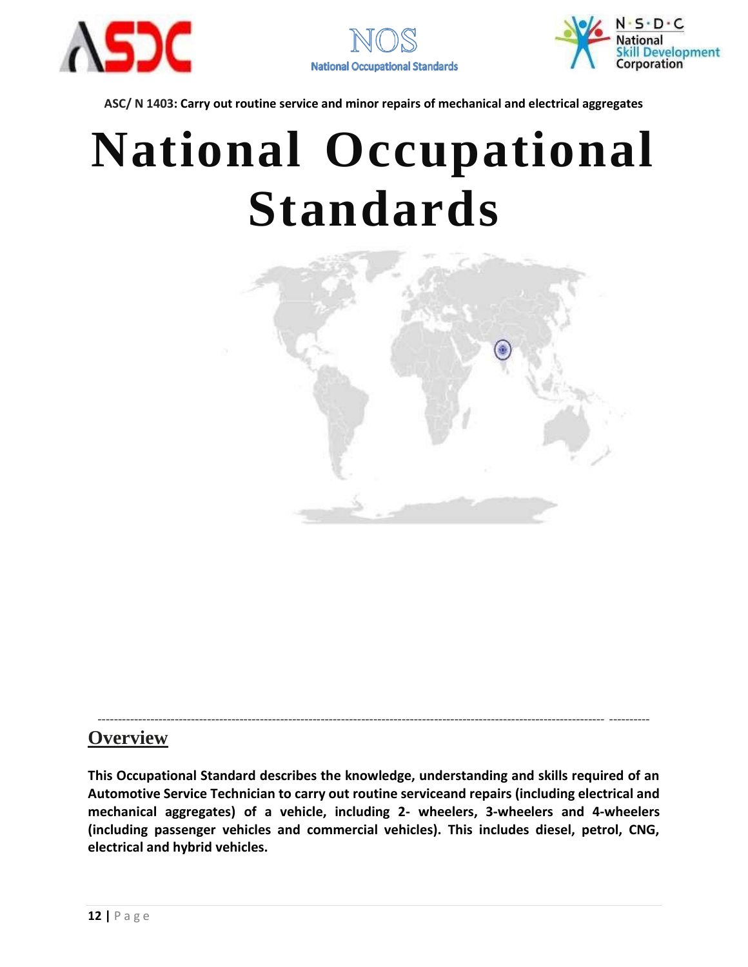





# **National Occupational Standards**



### **Overview**

**This Occupational Standard describes the knowledge, understanding and skills required of an Automotive Service Technician to carry out routine serviceand repairs (including electrical and mechanical aggregates) of a vehicle, including 2- wheelers, 3-wheelers and 4-wheelers (including passenger vehicles and commercial vehicles). This includes diesel, petrol, CNG, electrical and hybrid vehicles.**

----------------------------------------------------------------------------------------------------------------------------- ----------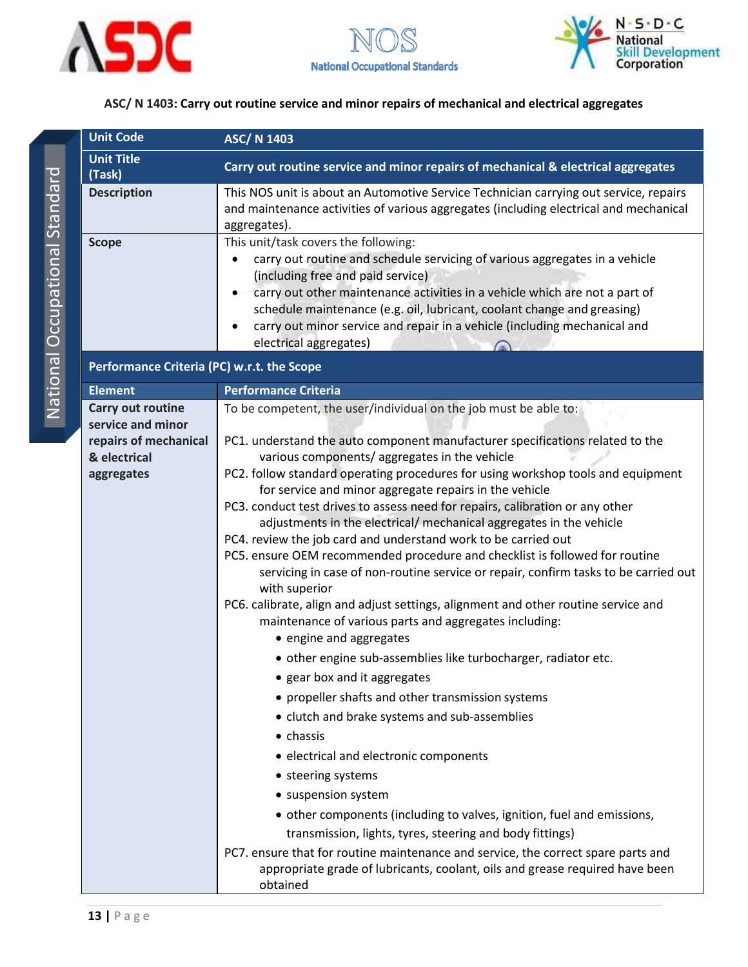





<span id="page-13-0"></span>

| <b>Unit Title</b><br>(Task)                                                                   |                                                                                                                                                                                                                                                                                                                                                                                                                                                                                                                                                                                                                                                                                                                                                                                                                                                                                                                                                                                                                                                                                                                                                                                                                                                                                                                                                                                                                                                                                                                                                                            |  |  |  |
|-----------------------------------------------------------------------------------------------|----------------------------------------------------------------------------------------------------------------------------------------------------------------------------------------------------------------------------------------------------------------------------------------------------------------------------------------------------------------------------------------------------------------------------------------------------------------------------------------------------------------------------------------------------------------------------------------------------------------------------------------------------------------------------------------------------------------------------------------------------------------------------------------------------------------------------------------------------------------------------------------------------------------------------------------------------------------------------------------------------------------------------------------------------------------------------------------------------------------------------------------------------------------------------------------------------------------------------------------------------------------------------------------------------------------------------------------------------------------------------------------------------------------------------------------------------------------------------------------------------------------------------------------------------------------------------|--|--|--|
|                                                                                               | Carry out routine service and minor repairs of mechanical & electrical aggregates                                                                                                                                                                                                                                                                                                                                                                                                                                                                                                                                                                                                                                                                                                                                                                                                                                                                                                                                                                                                                                                                                                                                                                                                                                                                                                                                                                                                                                                                                          |  |  |  |
| <b>Description</b>                                                                            | This NOS unit is about an Automotive Service Technician carrying out service, repairs<br>and maintenance activities of various aggregates (including electrical and mechanical<br>aggregates).                                                                                                                                                                                                                                                                                                                                                                                                                                                                                                                                                                                                                                                                                                                                                                                                                                                                                                                                                                                                                                                                                                                                                                                                                                                                                                                                                                             |  |  |  |
| <b>Scope</b>                                                                                  | This unit/task covers the following:<br>carry out routine and schedule servicing of various aggregates in a vehicle<br>(including free and paid service)<br>carry out other maintenance activities in a vehicle which are not a part of<br>schedule maintenance (e.g. oil, lubricant, coolant change and greasing)<br>carry out minor service and repair in a vehicle (including mechanical and<br>electrical aggregates)                                                                                                                                                                                                                                                                                                                                                                                                                                                                                                                                                                                                                                                                                                                                                                                                                                                                                                                                                                                                                                                                                                                                                  |  |  |  |
| Performance Criteria (PC) w.r.t. the Scope                                                    |                                                                                                                                                                                                                                                                                                                                                                                                                                                                                                                                                                                                                                                                                                                                                                                                                                                                                                                                                                                                                                                                                                                                                                                                                                                                                                                                                                                                                                                                                                                                                                            |  |  |  |
| <b>Element</b>                                                                                | <b>Performance Criteria</b>                                                                                                                                                                                                                                                                                                                                                                                                                                                                                                                                                                                                                                                                                                                                                                                                                                                                                                                                                                                                                                                                                                                                                                                                                                                                                                                                                                                                                                                                                                                                                |  |  |  |
| Carry out routine<br>service and minor<br>repairs of mechanical<br>& electrical<br>aggregates | To be competent, the user/individual on the job must be able to:<br>PC1. understand the auto component manufacturer specifications related to the<br>various components/aggregates in the vehicle<br>PC2. follow standard operating procedures for using workshop tools and equipment<br>for service and minor aggregate repairs in the vehicle<br>PC3. conduct test drives to assess need for repairs, calibration or any other<br>adjustments in the electrical/ mechanical aggregates in the vehicle<br>PC4. review the job card and understand work to be carried out<br>PC5. ensure OEM recommended procedure and checklist is followed for routine<br>servicing in case of non-routine service or repair, confirm tasks to be carried out<br>with superior<br>PC6. calibrate, align and adjust settings, alignment and other routine service and<br>maintenance of various parts and aggregates including:<br>• engine and aggregates<br>• other engine sub-assemblies like turbocharger, radiator etc.<br>• gear box and it aggregates<br>• propeller shafts and other transmission systems<br>• clutch and brake systems and sub-assemblies<br>$\bullet$ chassis<br>• electrical and electronic components<br>• steering systems<br>• suspension system<br>• other components (including to valves, ignition, fuel and emissions,<br>transmission, lights, tyres, steering and body fittings)<br>PC7. ensure that for routine maintenance and service, the correct spare parts and<br>appropriate grade of lubricants, coolant, oils and grease required have been |  |  |  |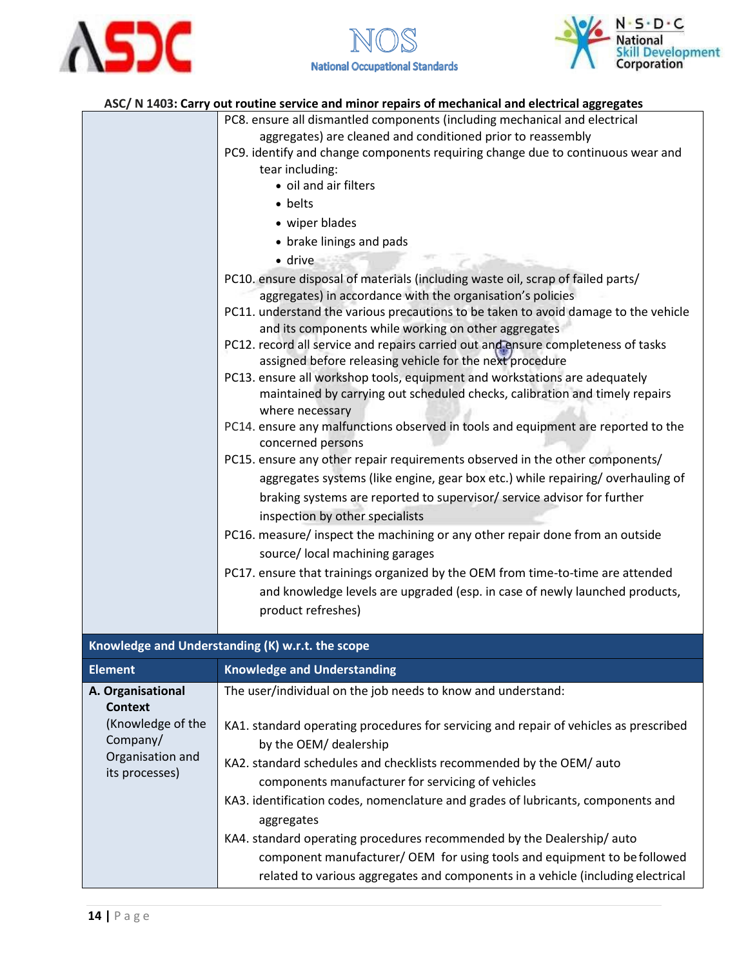





| ASC/ N 1403: Carry out routine service and minor repairs of mechanical and electrical aggregates |                                                                                                 |  |  |
|--------------------------------------------------------------------------------------------------|-------------------------------------------------------------------------------------------------|--|--|
|                                                                                                  | PC8. ensure all dismantled components (including mechanical and electrical                      |  |  |
|                                                                                                  | المناجبة ومستوجبات والمتواسية المستوقفا المتناوع والمستول والمستور والمستقل والمستورة والمستورة |  |  |

|                                                                                       | PC9. identify and change components requiring change due to continuous wear and<br>tear including:<br>· oil and air filters<br>• belts<br>• wiper blades<br>• brake linings and pads<br>· drive<br>PC10. ensure disposal of materials (including waste oil, scrap of failed parts/<br>aggregates) in accordance with the organisation's policies<br>PC11. understand the various precautions to be taken to avoid damage to the vehicle<br>and its components while working on other aggregates<br>PC12. record all service and repairs carried out and ensure completeness of tasks<br>assigned before releasing vehicle for the next procedure<br>PC13. ensure all workshop tools, equipment and workstations are adequately<br>maintained by carrying out scheduled checks, calibration and timely repairs<br>where necessary<br>PC14. ensure any malfunctions observed in tools and equipment are reported to the<br>concerned persons<br>PC15. ensure any other repair requirements observed in the other components/<br>aggregates systems (like engine, gear box etc.) while repairing/overhauling of<br>braking systems are reported to supervisor/ service advisor for further<br>inspection by other specialists<br>PC16. measure/ inspect the machining or any other repair done from an outside<br>source/ local machining garages<br>PC17. ensure that trainings organized by the OEM from time-to-time are attended<br>and knowledge levels are upgraded (esp. in case of newly launched products,<br>product refreshes) |  |
|---------------------------------------------------------------------------------------|----------------------------------------------------------------------------------------------------------------------------------------------------------------------------------------------------------------------------------------------------------------------------------------------------------------------------------------------------------------------------------------------------------------------------------------------------------------------------------------------------------------------------------------------------------------------------------------------------------------------------------------------------------------------------------------------------------------------------------------------------------------------------------------------------------------------------------------------------------------------------------------------------------------------------------------------------------------------------------------------------------------------------------------------------------------------------------------------------------------------------------------------------------------------------------------------------------------------------------------------------------------------------------------------------------------------------------------------------------------------------------------------------------------------------------------------------------------------------------------------------------------------------------------|--|
|                                                                                       | Knowledge and Understanding (K) w.r.t. the scope                                                                                                                                                                                                                                                                                                                                                                                                                                                                                                                                                                                                                                                                                                                                                                                                                                                                                                                                                                                                                                                                                                                                                                                                                                                                                                                                                                                                                                                                                       |  |
| <b>Element</b>                                                                        | <b>Knowledge and Understanding</b>                                                                                                                                                                                                                                                                                                                                                                                                                                                                                                                                                                                                                                                                                                                                                                                                                                                                                                                                                                                                                                                                                                                                                                                                                                                                                                                                                                                                                                                                                                     |  |
| A. Organisational                                                                     | The user/individual on the job needs to know and understand:                                                                                                                                                                                                                                                                                                                                                                                                                                                                                                                                                                                                                                                                                                                                                                                                                                                                                                                                                                                                                                                                                                                                                                                                                                                                                                                                                                                                                                                                           |  |
| <b>Context</b><br>(Knowledge of the<br>Company/<br>Organisation and<br>its processes) | KA1. standard operating procedures for servicing and repair of vehicles as prescribed<br>by the OEM/ dealership<br>KA2. standard schedules and checklists recommended by the OEM/ auto<br>components manufacturer for servicing of vehicles<br>KA3. identification codes, nomenclature and grades of lubricants, components and                                                                                                                                                                                                                                                                                                                                                                                                                                                                                                                                                                                                                                                                                                                                                                                                                                                                                                                                                                                                                                                                                                                                                                                                        |  |
|                                                                                       |                                                                                                                                                                                                                                                                                                                                                                                                                                                                                                                                                                                                                                                                                                                                                                                                                                                                                                                                                                                                                                                                                                                                                                                                                                                                                                                                                                                                                                                                                                                                        |  |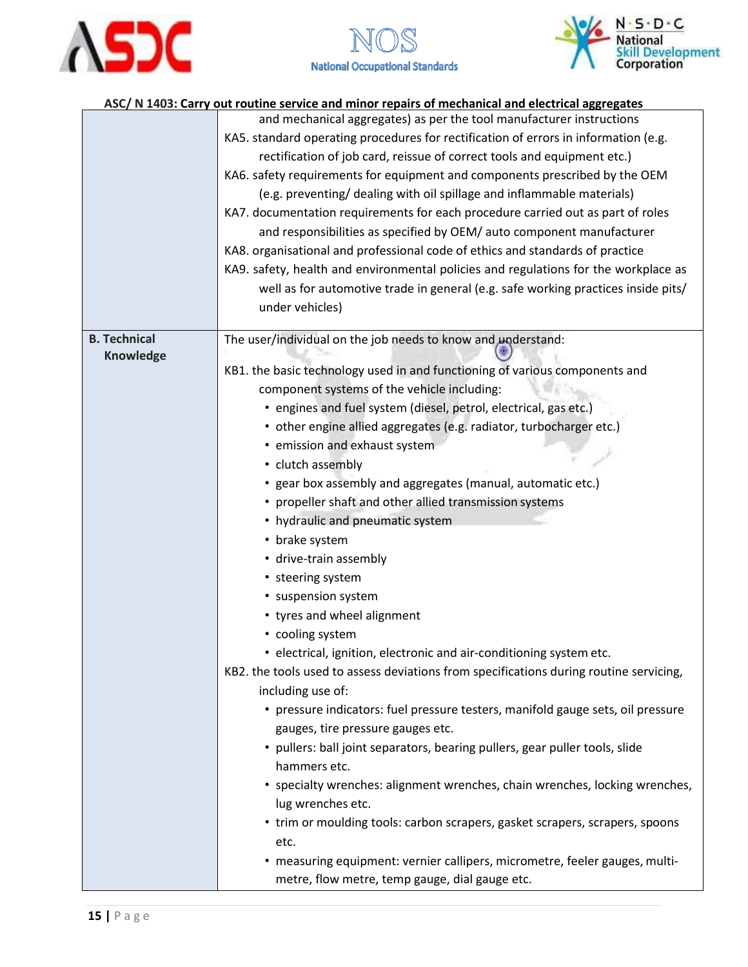





|                     | ASC/ N 1403: Carry out routine service and minor repairs of mechanical and electrical aggregates |  |  |  |  |
|---------------------|--------------------------------------------------------------------------------------------------|--|--|--|--|
|                     | and mechanical aggregates) as per the tool manufacturer instructions                             |  |  |  |  |
|                     | KA5. standard operating procedures for rectification of errors in information (e.g.              |  |  |  |  |
|                     | rectification of job card, reissue of correct tools and equipment etc.)                          |  |  |  |  |
|                     | KA6. safety requirements for equipment and components prescribed by the OEM                      |  |  |  |  |
|                     | (e.g. preventing/ dealing with oil spillage and inflammable materials)                           |  |  |  |  |
|                     | KA7. documentation requirements for each procedure carried out as part of roles                  |  |  |  |  |
|                     | and responsibilities as specified by OEM/ auto component manufacturer                            |  |  |  |  |
|                     | KA8. organisational and professional code of ethics and standards of practice                    |  |  |  |  |
|                     | KA9. safety, health and environmental policies and regulations for the workplace as              |  |  |  |  |
|                     | well as for automotive trade in general (e.g. safe working practices inside pits/                |  |  |  |  |
|                     | under vehicles)                                                                                  |  |  |  |  |
|                     |                                                                                                  |  |  |  |  |
| <b>B. Technical</b> | The user/individual on the job needs to know and understand:                                     |  |  |  |  |
| <b>Knowledge</b>    | KB1. the basic technology used in and functioning of various components and                      |  |  |  |  |
|                     | component systems of the vehicle including:                                                      |  |  |  |  |
|                     | • engines and fuel system (diesel, petrol, electrical, gas etc.)                                 |  |  |  |  |
|                     | • other engine allied aggregates (e.g. radiator, turbocharger etc.)                              |  |  |  |  |
|                     | • emission and exhaust system                                                                    |  |  |  |  |
|                     | • clutch assembly                                                                                |  |  |  |  |
|                     | • gear box assembly and aggregates (manual, automatic etc.)                                      |  |  |  |  |
|                     | • propeller shaft and other allied transmission systems                                          |  |  |  |  |
|                     | • hydraulic and pneumatic system                                                                 |  |  |  |  |
|                     | • brake system                                                                                   |  |  |  |  |
|                     | • drive-train assembly                                                                           |  |  |  |  |
|                     | • steering system                                                                                |  |  |  |  |
|                     | • suspension system                                                                              |  |  |  |  |
|                     | • tyres and wheel alignment                                                                      |  |  |  |  |
|                     | • cooling system                                                                                 |  |  |  |  |
|                     | • electrical, ignition, electronic and air-conditioning system etc.                              |  |  |  |  |
|                     | KB2. the tools used to assess deviations from specifications during routine servicing,           |  |  |  |  |
|                     | including use of:                                                                                |  |  |  |  |
|                     | • pressure indicators: fuel pressure testers, manifold gauge sets, oil pressure                  |  |  |  |  |
|                     | gauges, tire pressure gauges etc.                                                                |  |  |  |  |
|                     | • pullers: ball joint separators, bearing pullers, gear puller tools, slide                      |  |  |  |  |
|                     | hammers etc.                                                                                     |  |  |  |  |
|                     | • specialty wrenches: alignment wrenches, chain wrenches, locking wrenches,                      |  |  |  |  |
|                     | lug wrenches etc.                                                                                |  |  |  |  |
|                     | • trim or moulding tools: carbon scrapers, gasket scrapers, scrapers, spoons                     |  |  |  |  |
|                     | etc.                                                                                             |  |  |  |  |
|                     | • measuring equipment: vernier callipers, micrometre, feeler gauges, multi-                      |  |  |  |  |
|                     | metre, flow metre, temp gauge, dial gauge etc.                                                   |  |  |  |  |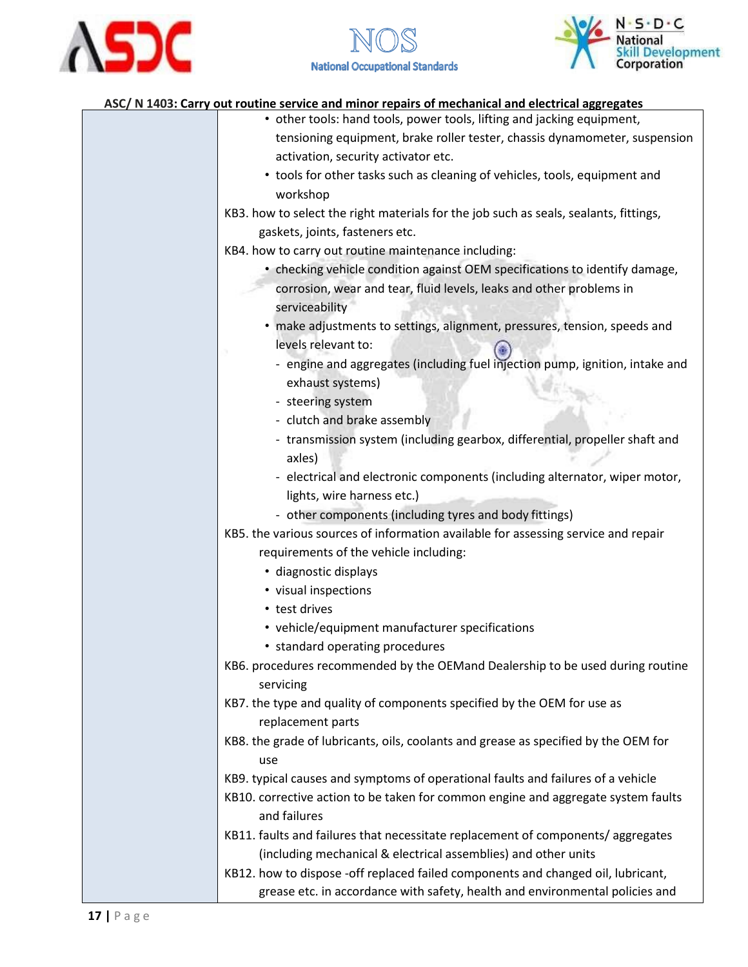



| • other tools: hand tools, power tools, lifting and jacking equipment,                |
|---------------------------------------------------------------------------------------|
| tensioning equipment, brake roller tester, chassis dynamometer, suspension            |
| activation, security activator etc.                                                   |
| • tools for other tasks such as cleaning of vehicles, tools, equipment and            |
| workshop                                                                              |
| KB3. how to select the right materials for the job such as seals, sealants, fittings, |
| gaskets, joints, fasteners etc.                                                       |
| KB4. how to carry out routine maintenance including:                                  |
| • checking vehicle condition against OEM specifications to identify damage,           |
| corrosion, wear and tear, fluid levels, leaks and other problems in                   |
| serviceability                                                                        |
| · make adjustments to settings, alignment, pressures, tension, speeds and             |
| levels relevant to:                                                                   |
| - engine and aggregates (including fuel injection pump, ignition, intake and          |
| exhaust systems)                                                                      |
| - steering system                                                                     |
| - clutch and brake assembly                                                           |
| - transmission system (including gearbox, differential, propeller shaft and           |
| axles)                                                                                |
| - electrical and electronic components (including alternator, wiper motor,            |
| lights, wire harness etc.)                                                            |
| - other components (including tyres and body fittings)                                |
| KB5. the various sources of information available for assessing service and repair    |
| requirements of the vehicle including:                                                |
| · diagnostic displays                                                                 |
| • visual inspections                                                                  |
| • test drives                                                                         |
| • vehicle/equipment manufacturer specifications                                       |
| • standard operating procedures                                                       |
| KB6. procedures recommended by the OEMand Dealership to be used during routine        |
| servicing                                                                             |
| KB7. the type and quality of components specified by the OEM for use as               |
| replacement parts                                                                     |
| KB8. the grade of lubricants, oils, coolants and grease as specified by the OEM for   |
| use                                                                                   |
| KB9. typical causes and symptoms of operational faults and failures of a vehicle      |
| KB10. corrective action to be taken for common engine and aggregate system faults     |
| and failures                                                                          |
| KB11. faults and failures that necessitate replacement of components/aggregates       |
| (including mechanical & electrical assemblies) and other units                        |
| KB12. how to dispose -off replaced failed components and changed oil, lubricant,      |
| grease etc. in accordance with safety, health and environmental policies and          |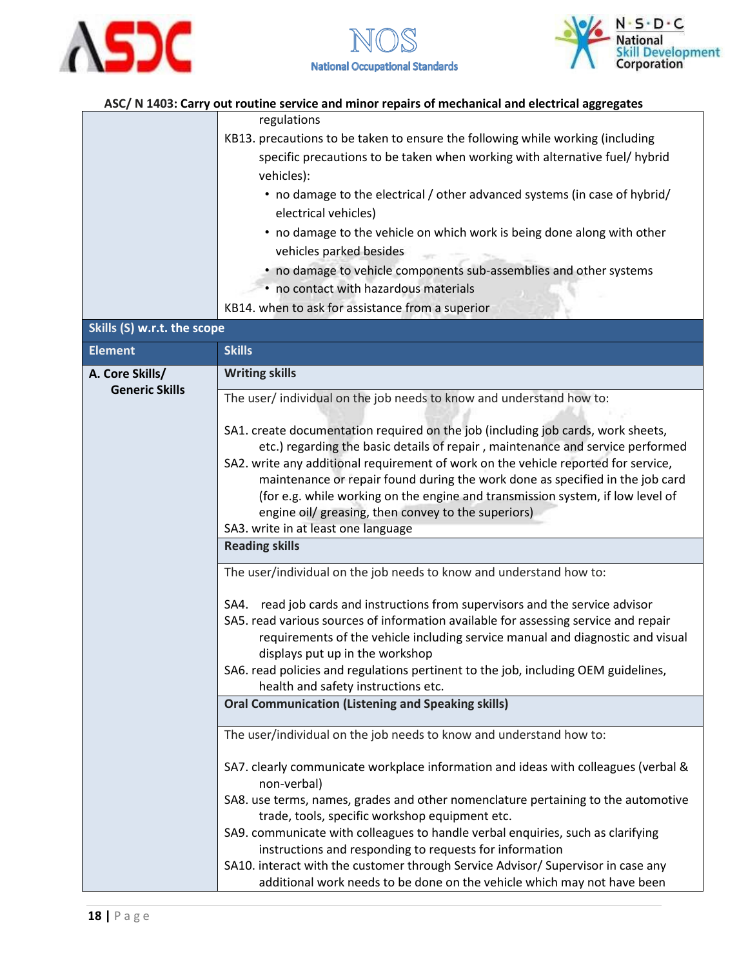





|                             | regulations                                                                                                                       |  |  |
|-----------------------------|-----------------------------------------------------------------------------------------------------------------------------------|--|--|
|                             | KB13. precautions to be taken to ensure the following while working (including                                                    |  |  |
|                             | specific precautions to be taken when working with alternative fuel/ hybrid                                                       |  |  |
|                             | vehicles):                                                                                                                        |  |  |
|                             | • no damage to the electrical / other advanced systems (in case of hybrid/                                                        |  |  |
|                             | electrical vehicles)                                                                                                              |  |  |
|                             | • no damage to the vehicle on which work is being done along with other                                                           |  |  |
|                             | vehicles parked besides                                                                                                           |  |  |
|                             | • no damage to vehicle components sub-assemblies and other systems                                                                |  |  |
|                             | • no contact with hazardous materials                                                                                             |  |  |
|                             | KB14. when to ask for assistance from a superior                                                                                  |  |  |
| Skills (S) w.r.t. the scope |                                                                                                                                   |  |  |
| <b>Element</b>              | <b>Skills</b>                                                                                                                     |  |  |
| A. Core Skills/             | <b>Writing skills</b>                                                                                                             |  |  |
| <b>Generic Skills</b>       | The user/ individual on the job needs to know and understand how to:                                                              |  |  |
|                             | SA1. create documentation required on the job (including job cards, work sheets,                                                  |  |  |
|                             | etc.) regarding the basic details of repair, maintenance and service performed                                                    |  |  |
|                             | SA2. write any additional requirement of work on the vehicle reported for service,                                                |  |  |
|                             | maintenance or repair found during the work done as specified in the job card                                                     |  |  |
|                             | (for e.g. while working on the engine and transmission system, if low level of                                                    |  |  |
|                             | engine oil/ greasing, then convey to the superiors)                                                                               |  |  |
|                             | SA3. write in at least one language                                                                                               |  |  |
|                             | <b>Reading skills</b>                                                                                                             |  |  |
|                             | The user/individual on the job needs to know and understand how to:                                                               |  |  |
|                             | SA4. read job cards and instructions from supervisors and the service advisor                                                     |  |  |
|                             | SA5. read various sources of information available for assessing service and repair                                               |  |  |
|                             | requirements of the vehicle including service manual and diagnostic and visual                                                    |  |  |
|                             | displays put up in the workshop                                                                                                   |  |  |
|                             | SA6. read policies and regulations pertinent to the job, including OEM guidelines,                                                |  |  |
|                             | health and safety instructions etc.                                                                                               |  |  |
|                             | <b>Oral Communication (Listening and Speaking skills)</b>                                                                         |  |  |
|                             | The user/individual on the job needs to know and understand how to:                                                               |  |  |
|                             | SA7. clearly communicate workplace information and ideas with colleagues (verbal &                                                |  |  |
|                             | non-verbal)                                                                                                                       |  |  |
|                             | SA8. use terms, names, grades and other nomenclature pertaining to the automotive                                                 |  |  |
|                             | trade, tools, specific workshop equipment etc.<br>SA9. communicate with colleagues to handle verbal enquiries, such as clarifying |  |  |
|                             | instructions and responding to requests for information                                                                           |  |  |
|                             | SA10. interact with the customer through Service Advisor/ Supervisor in case any                                                  |  |  |
|                             | additional work needs to be done on the vehicle which may not have been                                                           |  |  |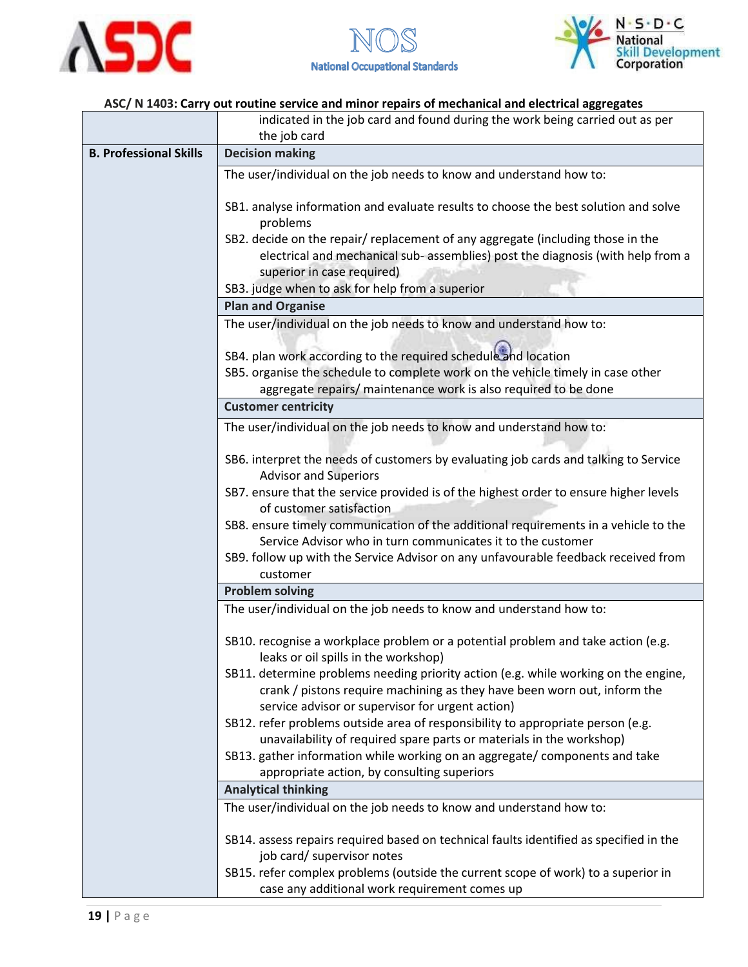





|                                                                     | indicated in the job card and found during the work being carried out as per                                                                                                                                         |  |  |  |
|---------------------------------------------------------------------|----------------------------------------------------------------------------------------------------------------------------------------------------------------------------------------------------------------------|--|--|--|
|                                                                     | the job card                                                                                                                                                                                                         |  |  |  |
| <b>B. Professional Skills</b>                                       | <b>Decision making</b>                                                                                                                                                                                               |  |  |  |
|                                                                     | The user/individual on the job needs to know and understand how to:                                                                                                                                                  |  |  |  |
|                                                                     | SB1. analyse information and evaluate results to choose the best solution and solve<br>problems                                                                                                                      |  |  |  |
|                                                                     | SB2. decide on the repair/ replacement of any aggregate (including those in the<br>electrical and mechanical sub- assemblies) post the diagnosis (with help from a<br>superior in case required)                     |  |  |  |
|                                                                     | SB3. judge when to ask for help from a superior                                                                                                                                                                      |  |  |  |
|                                                                     | <b>Plan and Organise</b>                                                                                                                                                                                             |  |  |  |
|                                                                     | The user/individual on the job needs to know and understand how to:                                                                                                                                                  |  |  |  |
|                                                                     | SB4. plan work according to the required schedule and location<br>SB5. organise the schedule to complete work on the vehicle timely in case other<br>aggregate repairs/ maintenance work is also required to be done |  |  |  |
|                                                                     | <b>Customer centricity</b>                                                                                                                                                                                           |  |  |  |
|                                                                     |                                                                                                                                                                                                                      |  |  |  |
|                                                                     | The user/individual on the job needs to know and understand how to:                                                                                                                                                  |  |  |  |
|                                                                     | SB6. interpret the needs of customers by evaluating job cards and talking to Service<br><b>Advisor and Superiors</b>                                                                                                 |  |  |  |
|                                                                     | SB7. ensure that the service provided is of the highest order to ensure higher levels<br>of customer satisfaction                                                                                                    |  |  |  |
|                                                                     | SB8. ensure timely communication of the additional requirements in a vehicle to the<br>Service Advisor who in turn communicates it to the customer                                                                   |  |  |  |
|                                                                     | SB9. follow up with the Service Advisor on any unfavourable feedback received from<br>customer                                                                                                                       |  |  |  |
|                                                                     | <b>Problem solving</b>                                                                                                                                                                                               |  |  |  |
| The user/individual on the job needs to know and understand how to: |                                                                                                                                                                                                                      |  |  |  |
|                                                                     | SB10. recognise a workplace problem or a potential problem and take action (e.g.<br>leaks or oil spills in the workshop)                                                                                             |  |  |  |
|                                                                     | SB11. determine problems needing priority action (e.g. while working on the engine,<br>crank / pistons require machining as they have been worn out, inform the<br>service advisor or supervisor for urgent action)  |  |  |  |
|                                                                     | SB12. refer problems outside area of responsibility to appropriate person (e.g.<br>unavailability of required spare parts or materials in the workshop)                                                              |  |  |  |
|                                                                     | SB13. gather information while working on an aggregate/ components and take                                                                                                                                          |  |  |  |
|                                                                     | appropriate action, by consulting superiors                                                                                                                                                                          |  |  |  |
|                                                                     | <b>Analytical thinking</b>                                                                                                                                                                                           |  |  |  |
|                                                                     | The user/individual on the job needs to know and understand how to:                                                                                                                                                  |  |  |  |
|                                                                     |                                                                                                                                                                                                                      |  |  |  |
|                                                                     | SB14. assess repairs required based on technical faults identified as specified in the<br>job card/ supervisor notes                                                                                                 |  |  |  |
|                                                                     | SB15. refer complex problems (outside the current scope of work) to a superior in                                                                                                                                    |  |  |  |
|                                                                     | case any additional work requirement comes up                                                                                                                                                                        |  |  |  |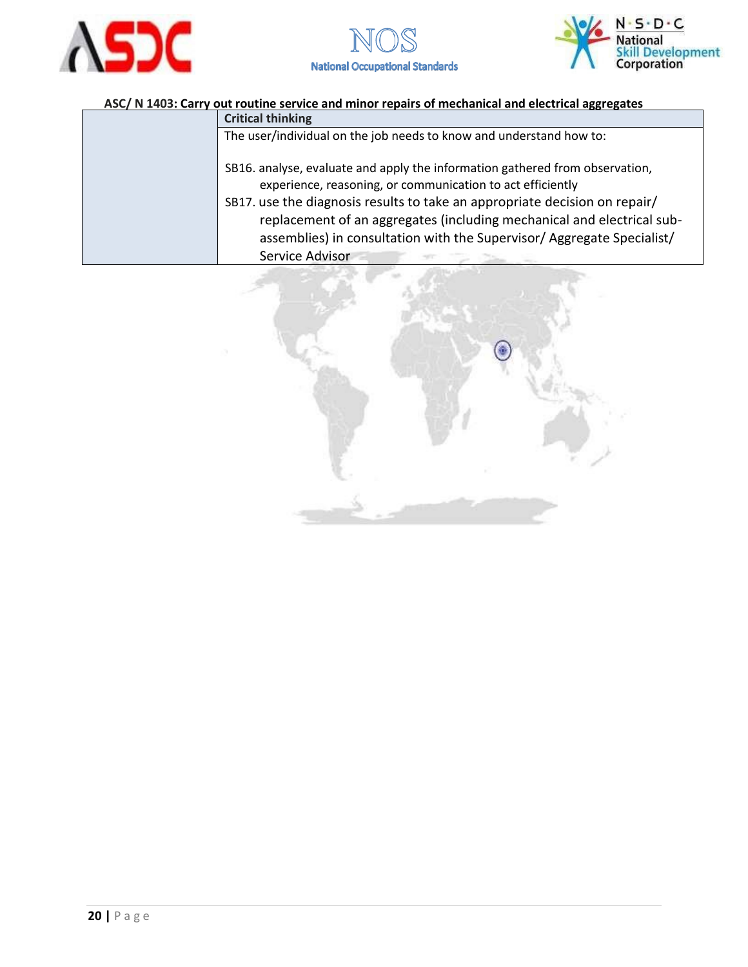





| <b>Critical thinking</b>                                                                                                                                                                                                                                                                                                                                                                        |  |  |  |
|-------------------------------------------------------------------------------------------------------------------------------------------------------------------------------------------------------------------------------------------------------------------------------------------------------------------------------------------------------------------------------------------------|--|--|--|
| The user/individual on the job needs to know and understand how to:                                                                                                                                                                                                                                                                                                                             |  |  |  |
| SB16. analyse, evaluate and apply the information gathered from observation,<br>experience, reasoning, or communication to act efficiently<br>SB17. use the diagnosis results to take an appropriate decision on repair/<br>replacement of an aggregates (including mechanical and electrical sub-<br>assemblies) in consultation with the Supervisor/ Aggregate Specialist/<br>Service Advisor |  |  |  |

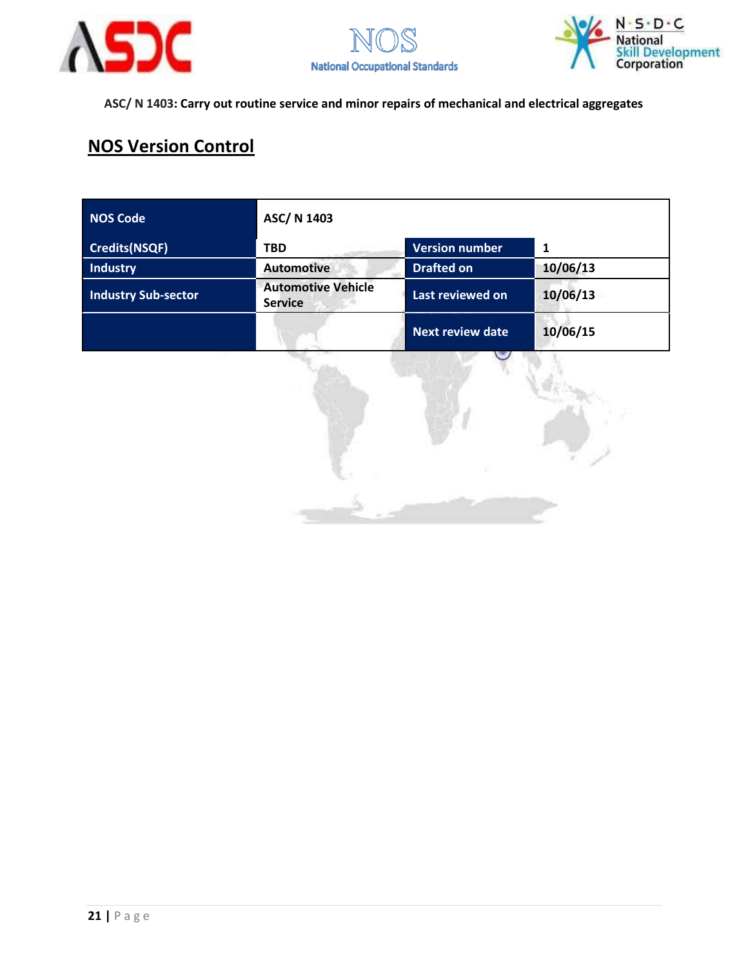





## **NOS Version Control**

| <b>NOS Code</b>            | ASC/ N 1403                                 |                         |          |
|----------------------------|---------------------------------------------|-------------------------|----------|
| <b>Credits(NSQF)</b>       | <b>TBD</b>                                  | <b>Version number</b>   | 1        |
| <b>Industry</b>            | <b>Automotive</b>                           | <b>Drafted on</b>       | 10/06/13 |
| <b>Industry Sub-sector</b> | <b>Automotive Vehicle</b><br><b>Service</b> | Last reviewed on        | 10/06/13 |
|                            |                                             | <b>Next review date</b> | 10/06/15 |

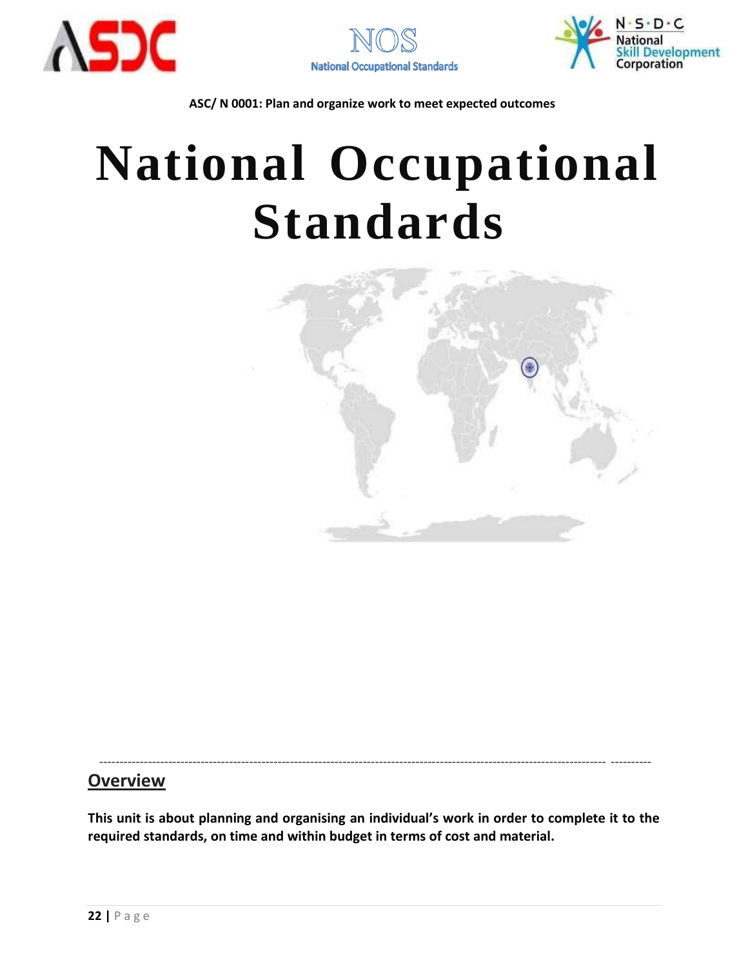





# **National Occupational Standards**



----------------------------------------------------------------------------------------------------------------------------- ----------

### **Overview**

**This unit is about planning and organising an individual's work in order to complete it to the required standards, on time and within budget in terms of cost and material.**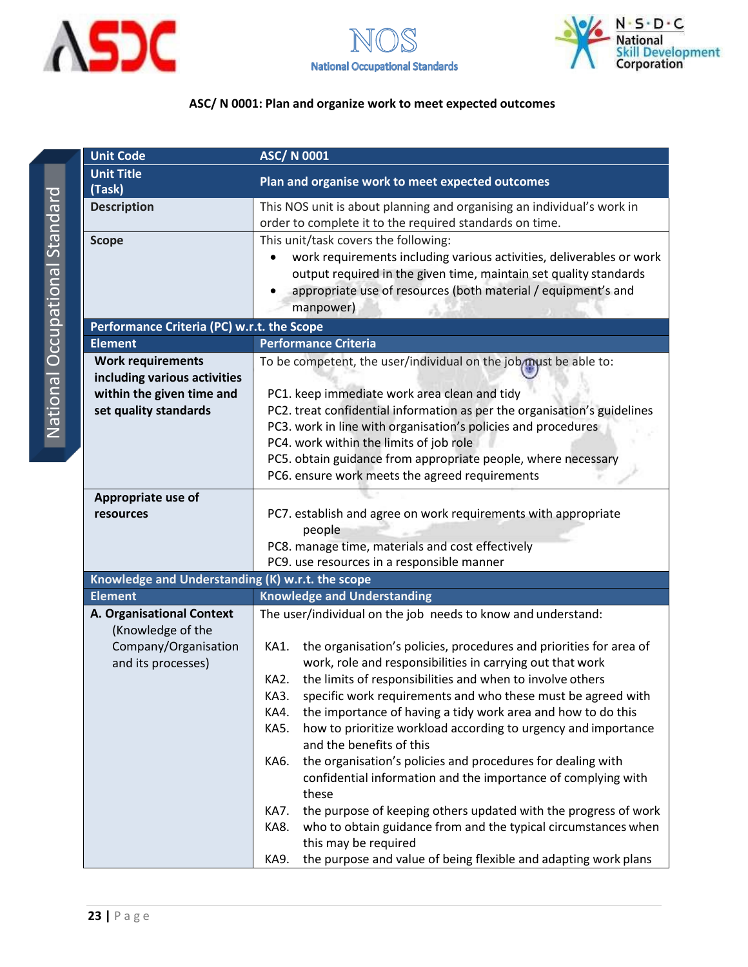

<span id="page-22-0"></span>



| <b>Unit Code</b>                                                                                               | <b>ASC/N 0001</b>                                                                                                                                                                                                                                                                                                                                                                                                                                                                                                                                                                                                                                                                                                                                                                                                                                                                  |  |  |
|----------------------------------------------------------------------------------------------------------------|------------------------------------------------------------------------------------------------------------------------------------------------------------------------------------------------------------------------------------------------------------------------------------------------------------------------------------------------------------------------------------------------------------------------------------------------------------------------------------------------------------------------------------------------------------------------------------------------------------------------------------------------------------------------------------------------------------------------------------------------------------------------------------------------------------------------------------------------------------------------------------|--|--|
| <b>Unit Title</b><br>(Task)                                                                                    | Plan and organise work to meet expected outcomes                                                                                                                                                                                                                                                                                                                                                                                                                                                                                                                                                                                                                                                                                                                                                                                                                                   |  |  |
| <b>Description</b>                                                                                             | This NOS unit is about planning and organising an individual's work in<br>order to complete it to the required standards on time.                                                                                                                                                                                                                                                                                                                                                                                                                                                                                                                                                                                                                                                                                                                                                  |  |  |
| <b>Scope</b>                                                                                                   | This unit/task covers the following:<br>work requirements including various activities, deliverables or work<br>output required in the given time, maintain set quality standards<br>appropriate use of resources (both material / equipment's and<br>manpower)                                                                                                                                                                                                                                                                                                                                                                                                                                                                                                                                                                                                                    |  |  |
| Performance Criteria (PC) w.r.t. the Scope                                                                     |                                                                                                                                                                                                                                                                                                                                                                                                                                                                                                                                                                                                                                                                                                                                                                                                                                                                                    |  |  |
| <b>Element</b>                                                                                                 | <b>Performance Criteria</b>                                                                                                                                                                                                                                                                                                                                                                                                                                                                                                                                                                                                                                                                                                                                                                                                                                                        |  |  |
| <b>Work requirements</b><br>including various activities<br>within the given time and<br>set quality standards | To be competent, the user/individual on the job must be able to:<br>PC1. keep immediate work area clean and tidy<br>PC2. treat confidential information as per the organisation's guidelines<br>PC3. work in line with organisation's policies and procedures<br>PC4. work within the limits of job role<br>PC5. obtain guidance from appropriate people, where necessary<br>PC6. ensure work meets the agreed requirements                                                                                                                                                                                                                                                                                                                                                                                                                                                        |  |  |
| Appropriate use of                                                                                             |                                                                                                                                                                                                                                                                                                                                                                                                                                                                                                                                                                                                                                                                                                                                                                                                                                                                                    |  |  |
| resources                                                                                                      | PC7. establish and agree on work requirements with appropriate<br>people<br>PC8. manage time, materials and cost effectively<br>PC9. use resources in a responsible manner                                                                                                                                                                                                                                                                                                                                                                                                                                                                                                                                                                                                                                                                                                         |  |  |
| Knowledge and Understanding (K) w.r.t. the scope                                                               |                                                                                                                                                                                                                                                                                                                                                                                                                                                                                                                                                                                                                                                                                                                                                                                                                                                                                    |  |  |
| <b>Element</b>                                                                                                 | <b>Knowledge and Understanding</b>                                                                                                                                                                                                                                                                                                                                                                                                                                                                                                                                                                                                                                                                                                                                                                                                                                                 |  |  |
| A. Organisational Context<br>(Knowledge of the                                                                 | The user/individual on the job needs to know and understand:                                                                                                                                                                                                                                                                                                                                                                                                                                                                                                                                                                                                                                                                                                                                                                                                                       |  |  |
| Company/Organisation<br>and its processes)                                                                     | the organisation's policies, procedures and priorities for area of<br>KA1.<br>work, role and responsibilities in carrying out that work<br>the limits of responsibilities and when to involve others<br>KA2.<br>KA3.<br>specific work requirements and who these must be agreed with<br>the importance of having a tidy work area and how to do this<br>KA4.<br><b>KA5.</b><br>how to prioritize workload according to urgency and importance<br>and the benefits of this<br>the organisation's policies and procedures for dealing with<br>KA6.<br>confidential information and the importance of complying with<br>these<br>the purpose of keeping others updated with the progress of work<br>KA7.<br>who to obtain guidance from and the typical circumstances when<br>KA8.<br>this may be required<br>the purpose and value of being flexible and adapting work plans<br>KA9. |  |  |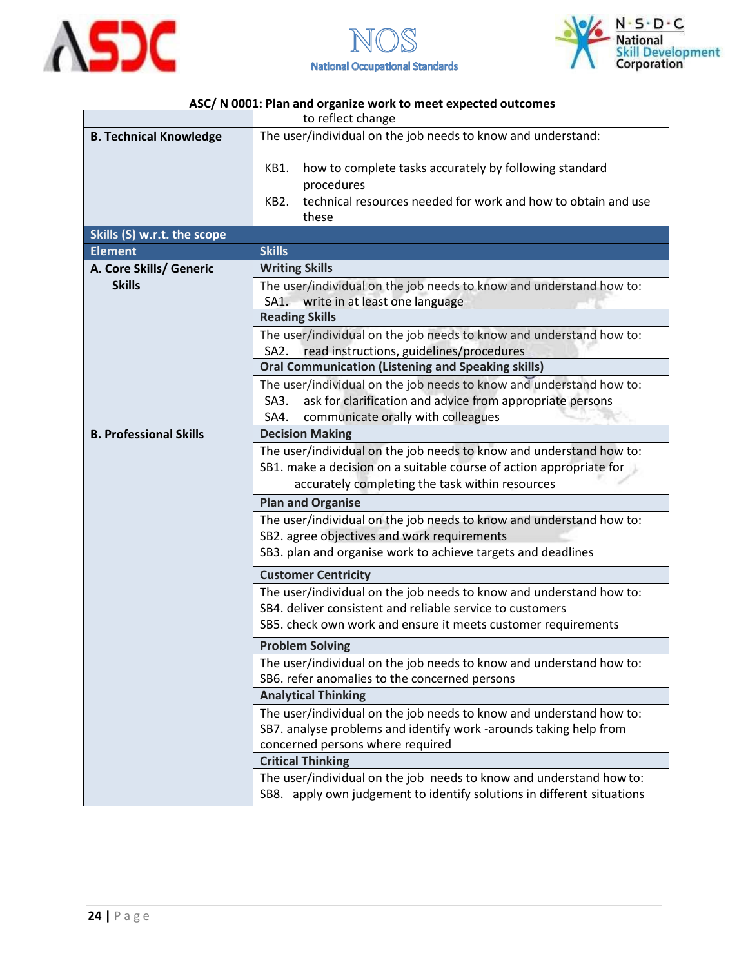





|                               | to reflect change                                                                                          |  |  |  |
|-------------------------------|------------------------------------------------------------------------------------------------------------|--|--|--|
| <b>B. Technical Knowledge</b> | The user/individual on the job needs to know and understand:                                               |  |  |  |
|                               | how to complete tasks accurately by following standard<br>KB1.                                             |  |  |  |
|                               | procedures                                                                                                 |  |  |  |
|                               | technical resources needed for work and how to obtain and use<br>KB <sub>2</sub>                           |  |  |  |
|                               | these                                                                                                      |  |  |  |
| Skills (S) w.r.t. the scope   |                                                                                                            |  |  |  |
| <b>Element</b>                | <b>Skills</b>                                                                                              |  |  |  |
| A. Core Skills/ Generic       | <b>Writing Skills</b>                                                                                      |  |  |  |
| <b>Skills</b>                 | The user/individual on the job needs to know and understand how to:                                        |  |  |  |
|                               | SA1. write in at least one language                                                                        |  |  |  |
|                               | <b>Reading Skills</b>                                                                                      |  |  |  |
|                               | The user/individual on the job needs to know and understand how to:                                        |  |  |  |
|                               | SA2. read instructions, guidelines/procedures<br><b>Oral Communication (Listening and Speaking skills)</b> |  |  |  |
|                               | The user/individual on the job needs to know and understand how to:                                        |  |  |  |
|                               | ask for clarification and advice from appropriate persons<br>SA3.                                          |  |  |  |
|                               | communicate orally with colleagues<br>SA4.                                                                 |  |  |  |
| <b>B. Professional Skills</b> | <b>Decision Making</b>                                                                                     |  |  |  |
|                               | The user/individual on the job needs to know and understand how to:                                        |  |  |  |
|                               | SB1. make a decision on a suitable course of action appropriate for                                        |  |  |  |
|                               | accurately completing the task within resources                                                            |  |  |  |
|                               | <b>Plan and Organise</b>                                                                                   |  |  |  |
|                               | The user/individual on the job needs to know and understand how to:                                        |  |  |  |
|                               | SB2. agree objectives and work requirements                                                                |  |  |  |
|                               | SB3. plan and organise work to achieve targets and deadlines                                               |  |  |  |
|                               | <b>Customer Centricity</b>                                                                                 |  |  |  |
|                               | The user/individual on the job needs to know and understand how to:                                        |  |  |  |
|                               | SB4. deliver consistent and reliable service to customers                                                  |  |  |  |
|                               | SB5. check own work and ensure it meets customer requirements                                              |  |  |  |
|                               | <b>Problem Solving</b>                                                                                     |  |  |  |
|                               | The user/individual on the job needs to know and understand how to:                                        |  |  |  |
|                               | SB6. refer anomalies to the concerned persons                                                              |  |  |  |
|                               | <b>Analytical Thinking</b>                                                                                 |  |  |  |
|                               | The user/individual on the job needs to know and understand how to:                                        |  |  |  |
|                               | SB7. analyse problems and identify work -arounds taking help from                                          |  |  |  |
|                               | concerned persons where required                                                                           |  |  |  |
|                               | <b>Critical Thinking</b>                                                                                   |  |  |  |
|                               | The user/individual on the job needs to know and understand how to:                                        |  |  |  |
|                               | SB8. apply own judgement to identify solutions in different situations                                     |  |  |  |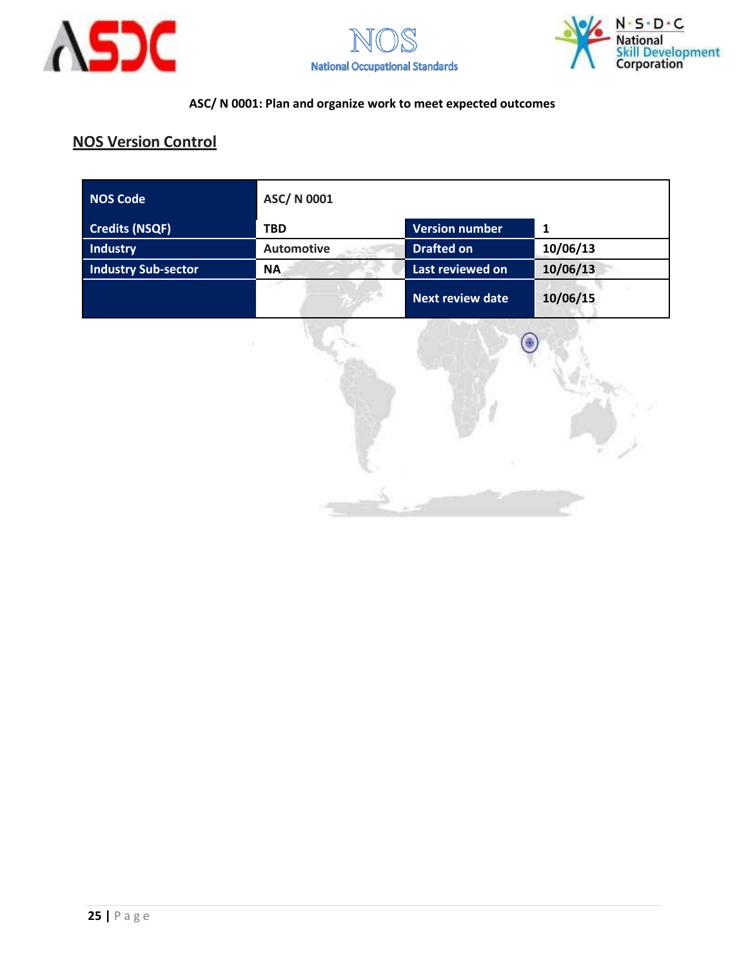





#### **NOS Version Control**

| NOS Code                   | ASC/ N 0001       |                         |          |
|----------------------------|-------------------|-------------------------|----------|
| <b>Credits (NSQF)</b>      | <b>TBD</b>        | <b>Version number</b>   | 1        |
| <b>Industry</b>            | <b>Automotive</b> | <b>Drafted on</b>       | 10/06/13 |
| <b>Industry Sub-sector</b> | <b>NA</b>         | Last reviewed on        | 10/06/13 |
|                            |                   | <b>Next review date</b> | 10/06/15 |

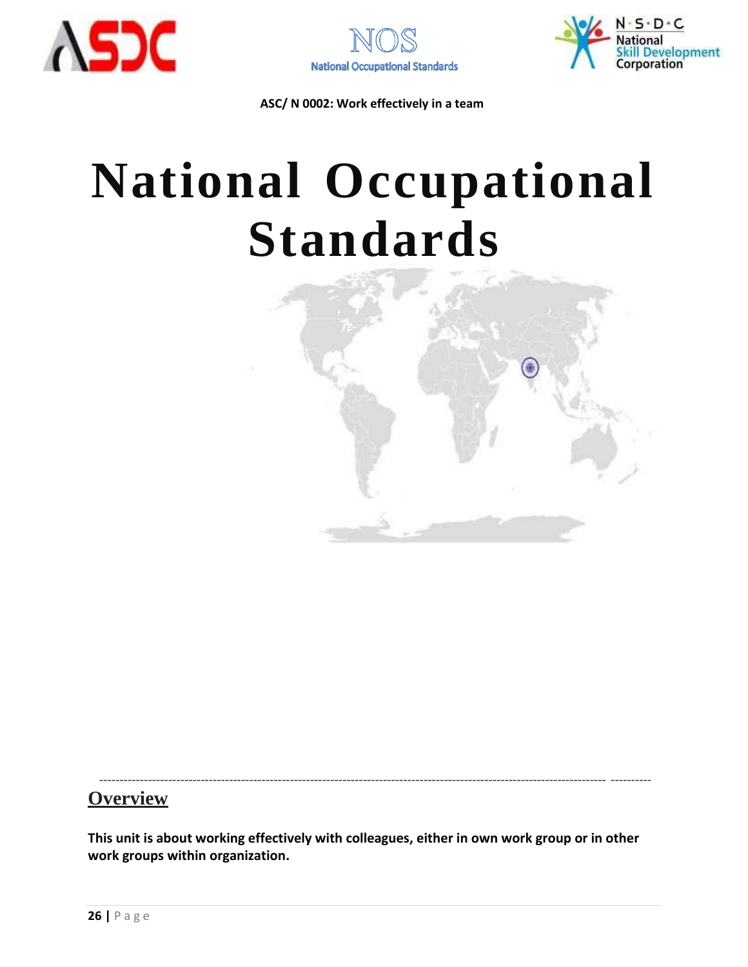





## **National Occupational Standards**



#### **Overview**

**This unit is about working effectively with colleagues, either in own work group or in other work groups within organization.**

----------------------------------------------------------------------------------------------------------------------------- ----------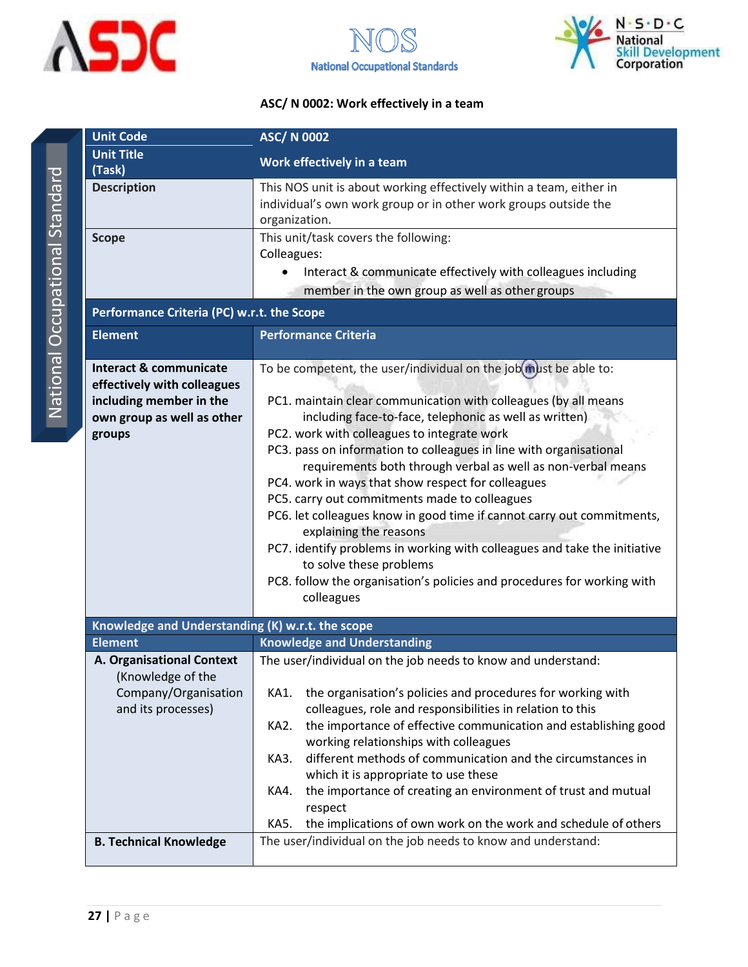





| <b>Unit Code</b>                                       | <b>ASC/ N 0002</b>                                                                                                                                      |
|--------------------------------------------------------|---------------------------------------------------------------------------------------------------------------------------------------------------------|
| <b>Unit Title</b><br>(Task)                            | Work effectively in a team                                                                                                                              |
| <b>Description</b>                                     | This NOS unit is about working effectively within a team, either in<br>individual's own work group or in other work groups outside the<br>organization. |
| <b>Scope</b>                                           | This unit/task covers the following:<br>Colleagues:                                                                                                     |
|                                                        | Interact & communicate effectively with colleagues including<br>$\bullet$                                                                               |
|                                                        | member in the own group as well as other groups                                                                                                         |
| Performance Criteria (PC) w.r.t. the Scope             |                                                                                                                                                         |
| <b>Element</b>                                         | <b>Performance Criteria</b>                                                                                                                             |
| <b>Interact &amp; communicate</b>                      | To be competent, the user/individual on the job(must be able to:                                                                                        |
| effectively with colleagues<br>including member in the | PC1. maintain clear communication with colleagues (by all means                                                                                         |
| own group as well as other                             | including face-to-face, telephonic as well as written)                                                                                                  |
| groups                                                 | PC2. work with colleagues to integrate work<br>PC3. pass on information to colleagues in line with organisational                                       |
|                                                        | requirements both through verbal as well as non-verbal means                                                                                            |
|                                                        | PC4. work in ways that show respect for colleagues                                                                                                      |
|                                                        | PC5. carry out commitments made to colleagues<br>PC6. let colleagues know in good time if cannot carry out commitments,                                 |
|                                                        | explaining the reasons                                                                                                                                  |
|                                                        | PC7. identify problems in working with colleagues and take the initiative<br>to solve these problems                                                    |
|                                                        | PC8. follow the organisation's policies and procedures for working with                                                                                 |
|                                                        | colleagues                                                                                                                                              |
| Knowledge and Understanding (K) w.r.t. the scope       |                                                                                                                                                         |
| <b>Element</b>                                         | <b>Knowledge and Understanding</b>                                                                                                                      |
| A. Organisational Context<br>(Knowledge of the         | The user/individual on the job needs to know and understand:                                                                                            |
| Company/Organisation                                   | the organisation's policies and procedures for working with<br>KA1.                                                                                     |
| and its processes)                                     | colleagues, role and responsibilities in relation to this<br>KA2.<br>the importance of effective communication and establishing good                    |
|                                                        | working relationships with colleagues                                                                                                                   |
|                                                        | different methods of communication and the circumstances in<br>KA3.                                                                                     |
|                                                        | which it is appropriate to use these<br>the importance of creating an environment of trust and mutual<br>KA4.                                           |
|                                                        | respect                                                                                                                                                 |
|                                                        | the implications of own work on the work and schedule of others<br>KA5.                                                                                 |
| <b>B. Technical Knowledge</b>                          | The user/individual on the job needs to know and understand:                                                                                            |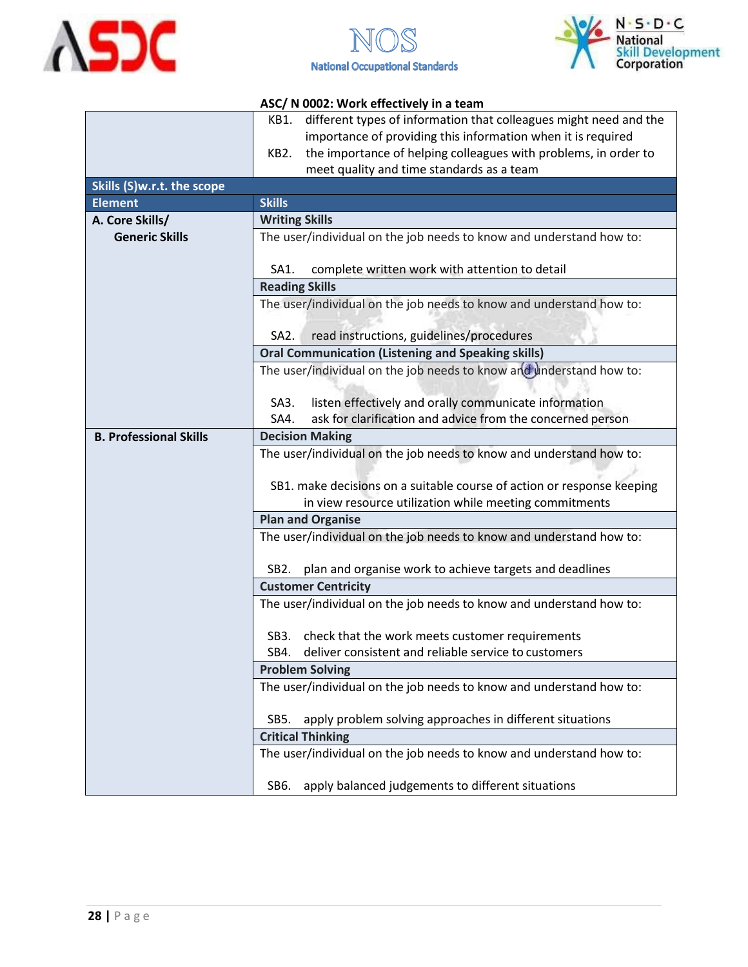





|                               | different types of information that colleagues might need and the<br>KB1.                                                                                                                               |  |  |
|-------------------------------|---------------------------------------------------------------------------------------------------------------------------------------------------------------------------------------------------------|--|--|
|                               | importance of providing this information when it is required                                                                                                                                            |  |  |
|                               | the importance of helping colleagues with problems, in order to<br>KB2.                                                                                                                                 |  |  |
|                               | meet quality and time standards as a team                                                                                                                                                               |  |  |
| Skills (S)w.r.t. the scope    |                                                                                                                                                                                                         |  |  |
| <b>Element</b>                | <b>Skills</b>                                                                                                                                                                                           |  |  |
| A. Core Skills/               | <b>Writing Skills</b>                                                                                                                                                                                   |  |  |
| <b>Generic Skills</b>         | The user/individual on the job needs to know and understand how to:                                                                                                                                     |  |  |
|                               | complete written work with attention to detail<br>SA1.                                                                                                                                                  |  |  |
|                               | <b>Reading Skills</b>                                                                                                                                                                                   |  |  |
|                               | The user/individual on the job needs to know and understand how to:                                                                                                                                     |  |  |
|                               | read instructions, guidelines/procedures<br>SA <sub>2</sub> .                                                                                                                                           |  |  |
|                               | <b>Oral Communication (Listening and Speaking skills)</b>                                                                                                                                               |  |  |
|                               | The user/individual on the job needs to know and understand how to:                                                                                                                                     |  |  |
|                               | listen effectively and orally communicate information<br>SA3.                                                                                                                                           |  |  |
|                               | ask for clarification and advice from the concerned person<br>SA4.                                                                                                                                      |  |  |
| <b>B. Professional Skills</b> | <b>Decision Making</b>                                                                                                                                                                                  |  |  |
|                               | The user/individual on the job needs to know and understand how to:<br>SB1. make decisions on a suitable course of action or response keeping<br>in view resource utilization while meeting commitments |  |  |
|                               | <b>Plan and Organise</b>                                                                                                                                                                                |  |  |
|                               | The user/individual on the job needs to know and understand how to:                                                                                                                                     |  |  |
|                               |                                                                                                                                                                                                         |  |  |
|                               | plan and organise work to achieve targets and deadlines<br>SB <sub>2</sub> .                                                                                                                            |  |  |
|                               | <b>Customer Centricity</b>                                                                                                                                                                              |  |  |
|                               | The user/individual on the job needs to know and understand how to:                                                                                                                                     |  |  |
|                               | check that the work meets customer requirements<br>SB3.                                                                                                                                                 |  |  |
|                               | SB4.<br>deliver consistent and reliable service to customers                                                                                                                                            |  |  |
|                               | <b>Problem Solving</b>                                                                                                                                                                                  |  |  |
|                               | The user/individual on the job needs to know and understand how to:                                                                                                                                     |  |  |
|                               |                                                                                                                                                                                                         |  |  |
|                               | apply problem solving approaches in different situations<br>SB <sub>5</sub> .                                                                                                                           |  |  |
|                               | <b>Critical Thinking</b>                                                                                                                                                                                |  |  |
|                               | The user/individual on the job needs to know and understand how to:                                                                                                                                     |  |  |
|                               | apply balanced judgements to different situations<br>SB6.                                                                                                                                               |  |  |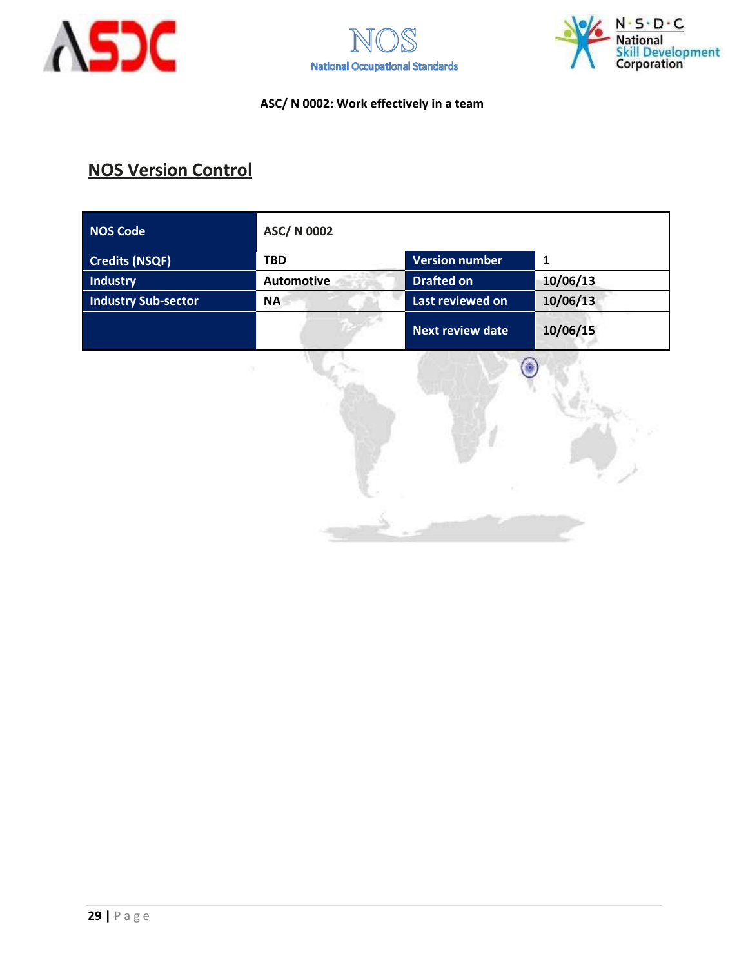





## **NOS Version Control**

| <b>NOS Code</b>            | <b>ASC/N 0002</b> |                         |          |
|----------------------------|-------------------|-------------------------|----------|
| <b>Credits (NSQF)</b>      | <b>TBD</b>        | <b>Version number</b>   | 1        |
| <b>Industry</b>            | <b>Automotive</b> | <b>Drafted on</b>       | 10/06/13 |
| <b>Industry Sub-sector</b> | <b>NA</b>         | Last reviewed on        | 10/06/13 |
|                            |                   | <b>Next review date</b> | 10/06/15 |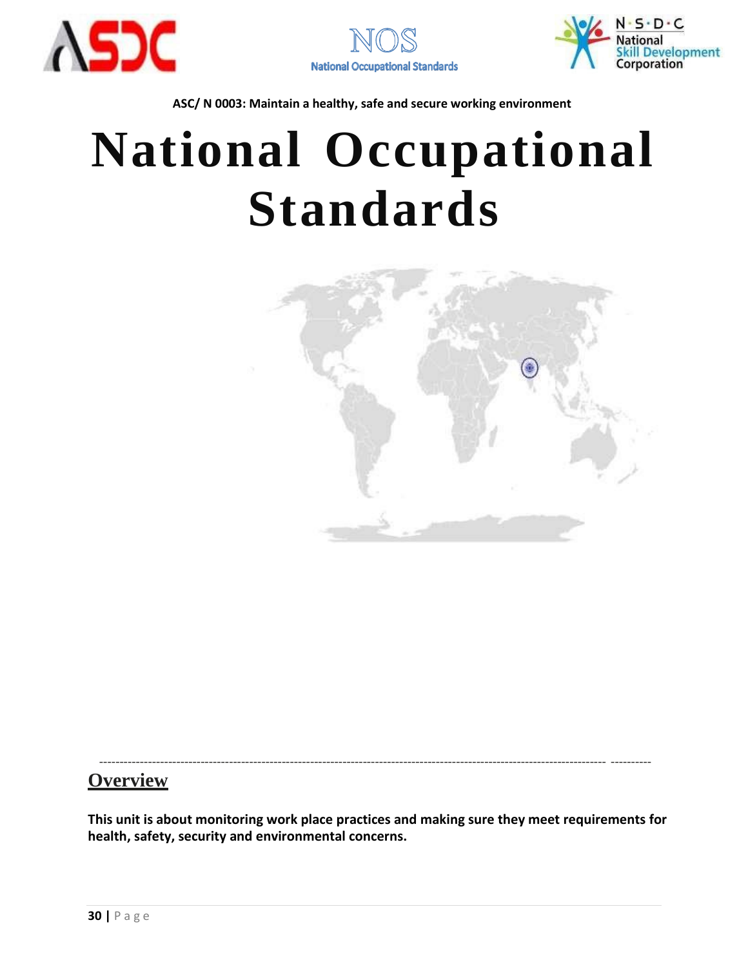





# **National Occupational Standards**



----------------------------------------------------------------------------------------------------------------------------- ----------

### **Overview**

**This unit is about monitoring work place practices and making sure they meet requirements for health, safety, security and environmental concerns.**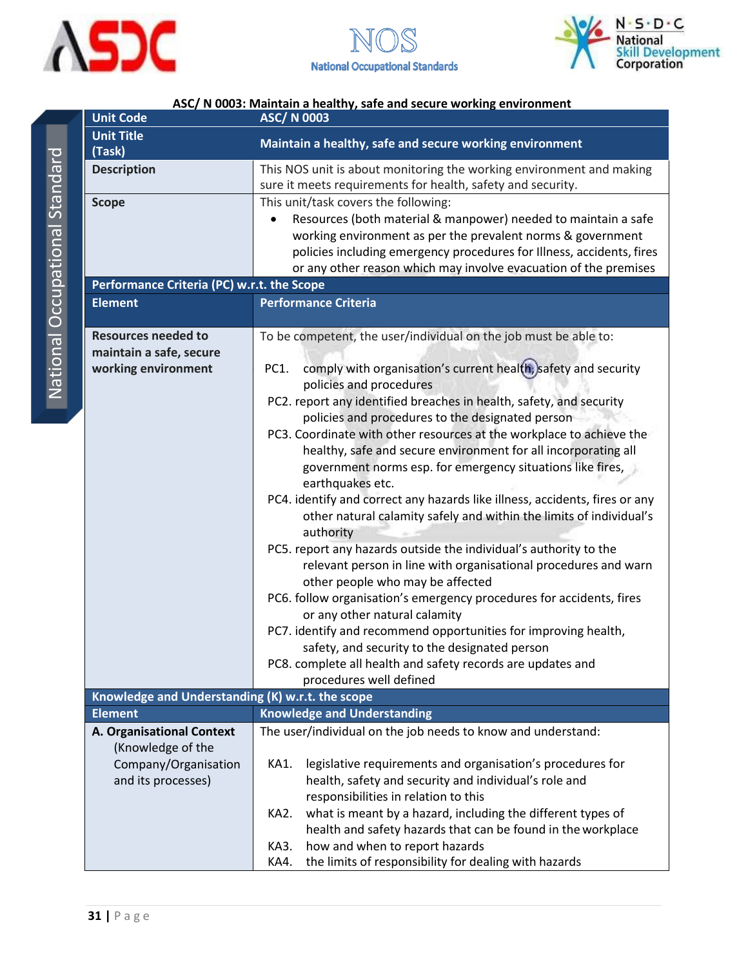

<span id="page-30-0"></span>



| <b>Unit Code</b>                                                             | <b>ASC/N 0003</b>                                                                                                                                                                                                                                                                                                                                                                                                                                                                                                                                                                                                                                                                                                                                                                                                                                                                                                                                                                                                                                                                                                                                                                                  |  |  |
|------------------------------------------------------------------------------|----------------------------------------------------------------------------------------------------------------------------------------------------------------------------------------------------------------------------------------------------------------------------------------------------------------------------------------------------------------------------------------------------------------------------------------------------------------------------------------------------------------------------------------------------------------------------------------------------------------------------------------------------------------------------------------------------------------------------------------------------------------------------------------------------------------------------------------------------------------------------------------------------------------------------------------------------------------------------------------------------------------------------------------------------------------------------------------------------------------------------------------------------------------------------------------------------|--|--|
| <b>Unit Title</b>                                                            | Maintain a healthy, safe and secure working environment                                                                                                                                                                                                                                                                                                                                                                                                                                                                                                                                                                                                                                                                                                                                                                                                                                                                                                                                                                                                                                                                                                                                            |  |  |
| (Task)                                                                       |                                                                                                                                                                                                                                                                                                                                                                                                                                                                                                                                                                                                                                                                                                                                                                                                                                                                                                                                                                                                                                                                                                                                                                                                    |  |  |
| <b>Description</b>                                                           | This NOS unit is about monitoring the working environment and making<br>sure it meets requirements for health, safety and security.                                                                                                                                                                                                                                                                                                                                                                                                                                                                                                                                                                                                                                                                                                                                                                                                                                                                                                                                                                                                                                                                |  |  |
| <b>Scope</b>                                                                 | This unit/task covers the following:<br>Resources (both material & manpower) needed to maintain a safe<br>working environment as per the prevalent norms & government<br>policies including emergency procedures for Illness, accidents, fires<br>or any other reason which may involve evacuation of the premises                                                                                                                                                                                                                                                                                                                                                                                                                                                                                                                                                                                                                                                                                                                                                                                                                                                                                 |  |  |
| Performance Criteria (PC) w.r.t. the Scope                                   |                                                                                                                                                                                                                                                                                                                                                                                                                                                                                                                                                                                                                                                                                                                                                                                                                                                                                                                                                                                                                                                                                                                                                                                                    |  |  |
| <b>Element</b>                                                               | <b>Performance Criteria</b>                                                                                                                                                                                                                                                                                                                                                                                                                                                                                                                                                                                                                                                                                                                                                                                                                                                                                                                                                                                                                                                                                                                                                                        |  |  |
| <b>Resources needed to</b><br>maintain a safe, secure<br>working environment | To be competent, the user/individual on the job must be able to:<br>comply with organisation's current health, safety and security<br>PC1.<br>policies and procedures<br>PC2. report any identified breaches in health, safety, and security<br>policies and procedures to the designated person<br>PC3. Coordinate with other resources at the workplace to achieve the<br>healthy, safe and secure environment for all incorporating all<br>government norms esp. for emergency situations like fires,<br>earthquakes etc.<br>PC4. identify and correct any hazards like illness, accidents, fires or any<br>other natural calamity safely and within the limits of individual's<br>authority<br>PC5. report any hazards outside the individual's authority to the<br>relevant person in line with organisational procedures and warn<br>other people who may be affected<br>PC6. follow organisation's emergency procedures for accidents, fires<br>or any other natural calamity<br>PC7. identify and recommend opportunities for improving health,<br>safety, and security to the designated person<br>PC8. complete all health and safety records are updates and<br>procedures well defined |  |  |
| Knowledge and Understanding (K) w.r.t. the scope                             |                                                                                                                                                                                                                                                                                                                                                                                                                                                                                                                                                                                                                                                                                                                                                                                                                                                                                                                                                                                                                                                                                                                                                                                                    |  |  |
| <b>Element</b>                                                               | <b>Knowledge and Understanding</b>                                                                                                                                                                                                                                                                                                                                                                                                                                                                                                                                                                                                                                                                                                                                                                                                                                                                                                                                                                                                                                                                                                                                                                 |  |  |
| A. Organisational Context<br>(Knowledge of the                               | The user/individual on the job needs to know and understand:                                                                                                                                                                                                                                                                                                                                                                                                                                                                                                                                                                                                                                                                                                                                                                                                                                                                                                                                                                                                                                                                                                                                       |  |  |
| Company/Organisation<br>and its processes)                                   | legislative requirements and organisation's procedures for<br>KA1.<br>health, safety and security and individual's role and<br>responsibilities in relation to this                                                                                                                                                                                                                                                                                                                                                                                                                                                                                                                                                                                                                                                                                                                                                                                                                                                                                                                                                                                                                                |  |  |
|                                                                              | what is meant by a hazard, including the different types of<br>KA2.<br>health and safety hazards that can be found in the workplace<br>how and when to report hazards<br>KA3.<br>the limits of responsibility for dealing with hazards<br>KA4.                                                                                                                                                                                                                                                                                                                                                                                                                                                                                                                                                                                                                                                                                                                                                                                                                                                                                                                                                     |  |  |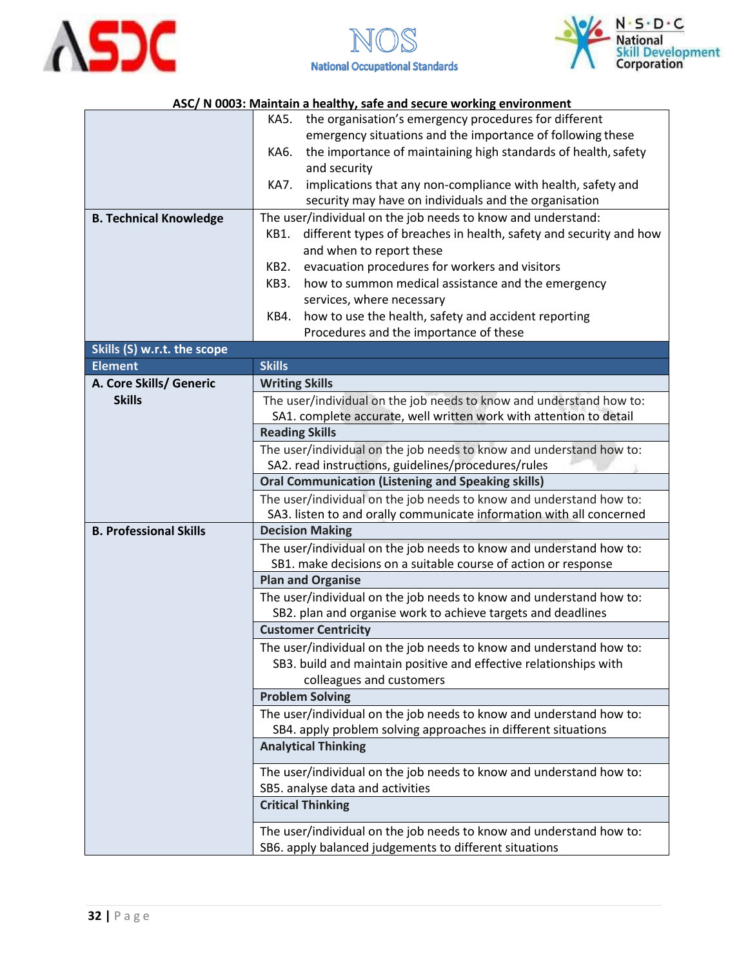





|                               | KA5.<br>the organisation's emergency procedures for different                                  |  |  |
|-------------------------------|------------------------------------------------------------------------------------------------|--|--|
|                               | emergency situations and the importance of following these                                     |  |  |
|                               | the importance of maintaining high standards of health, safety<br>KA6.                         |  |  |
|                               | and security                                                                                   |  |  |
|                               | implications that any non-compliance with health, safety and<br>KA7.                           |  |  |
|                               | security may have on individuals and the organisation                                          |  |  |
| <b>B. Technical Knowledge</b> | The user/individual on the job needs to know and understand:                                   |  |  |
|                               | different types of breaches in health, safety and security and how<br>KB1.                     |  |  |
|                               | and when to report these                                                                       |  |  |
|                               | evacuation procedures for workers and visitors<br>KB2.                                         |  |  |
|                               | how to summon medical assistance and the emergency<br>KB3.                                     |  |  |
|                               | services, where necessary                                                                      |  |  |
|                               | how to use the health, safety and accident reporting<br>KB4.                                   |  |  |
|                               | Procedures and the importance of these                                                         |  |  |
| Skills (S) w.r.t. the scope   |                                                                                                |  |  |
| <b>Element</b>                | <b>Skills</b>                                                                                  |  |  |
| A. Core Skills/ Generic       | <b>Writing Skills</b>                                                                          |  |  |
| <b>Skills</b>                 | The user/individual on the job needs to know and understand how to:                            |  |  |
|                               | SA1. complete accurate, well written work with attention to detail                             |  |  |
|                               | <b>Reading Skills</b>                                                                          |  |  |
|                               | The user/individual on the job needs to know and understand how to:                            |  |  |
|                               | SA2. read instructions, guidelines/procedures/rules                                            |  |  |
|                               | <b>Oral Communication (Listening and Speaking skills)</b>                                      |  |  |
|                               | The user/individual on the job needs to know and understand how to:                            |  |  |
| <b>B. Professional Skills</b> | SA3. listen to and orally communicate information with all concerned<br><b>Decision Making</b> |  |  |
|                               | The user/individual on the job needs to know and understand how to:                            |  |  |
|                               | SB1. make decisions on a suitable course of action or response                                 |  |  |
|                               | <b>Plan and Organise</b>                                                                       |  |  |
|                               | The user/individual on the job needs to know and understand how to:                            |  |  |
|                               | SB2. plan and organise work to achieve targets and deadlines                                   |  |  |
|                               | <b>Customer Centricity</b>                                                                     |  |  |
|                               | The user/individual on the job needs to know and understand how to:                            |  |  |
|                               | SB3. build and maintain positive and effective relationships with                              |  |  |
|                               | colleagues and customers                                                                       |  |  |
|                               | <b>Problem Solving</b>                                                                         |  |  |
|                               | The user/individual on the job needs to know and understand how to:                            |  |  |
|                               | SB4. apply problem solving approaches in different situations                                  |  |  |
|                               | <b>Analytical Thinking</b>                                                                     |  |  |
|                               |                                                                                                |  |  |
|                               | The user/individual on the job needs to know and understand how to:                            |  |  |
|                               | SB5. analyse data and activities                                                               |  |  |
|                               | <b>Critical Thinking</b>                                                                       |  |  |
|                               | The user/individual on the job needs to know and understand how to:                            |  |  |
|                               | SB6. apply balanced judgements to different situations                                         |  |  |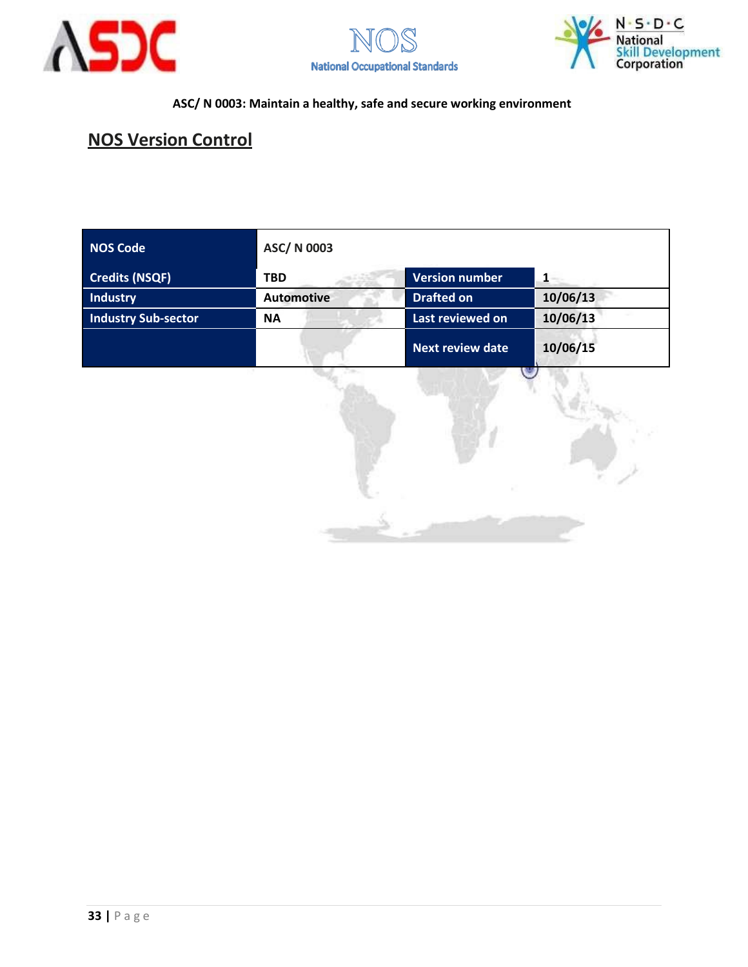





## **NOS Version Control**

| <b>NOS Code</b>            | ASC/ N 0003       |                         |                           |
|----------------------------|-------------------|-------------------------|---------------------------|
| <b>Credits (NSQF)</b>      | <b>TBD</b>        | <b>Version number</b>   |                           |
| Industry                   | <b>Automotive</b> | <b>Drafted on</b>       | 10/06/13                  |
| <b>Industry Sub-sector</b> | <b>NA</b>         | Last reviewed on        | 10/06/13                  |
|                            |                   | <b>Next review date</b> | 10/06/15<br><b>TANK 1</b> |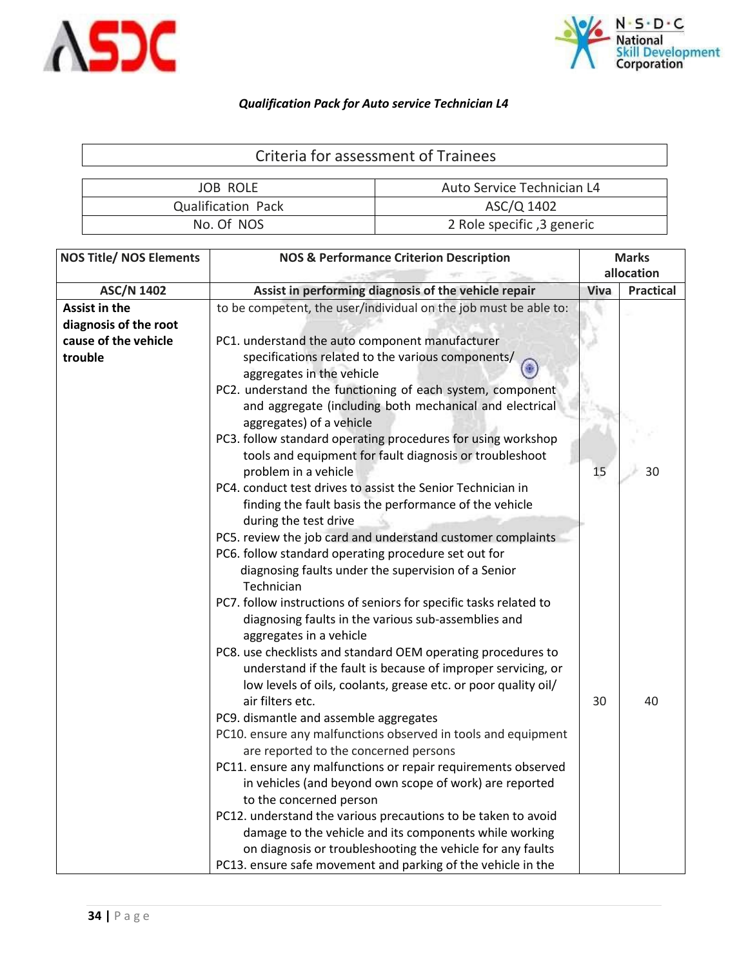



<span id="page-33-0"></span>

| Criteria for assessment of Trainees |                            |  |  |  |
|-------------------------------------|----------------------------|--|--|--|
|                                     |                            |  |  |  |
| <b>JOB ROLE</b>                     | Auto Service Technician L4 |  |  |  |
| <b>Qualification Pack</b>           | ASC/Q 1402                 |  |  |  |
| No. Of NOS                          | 2 Role specific, 3 generic |  |  |  |

| <b>NOS Title/ NOS Elements</b><br><b>NOS &amp; Performance Criterion Description</b> |                                                                   | <b>Marks</b><br>allocation |                  |
|--------------------------------------------------------------------------------------|-------------------------------------------------------------------|----------------------------|------------------|
| <b>ASC/N 1402</b>                                                                    | Assist in performing diagnosis of the vehicle repair              | <b>Viva</b>                | <b>Practical</b> |
| Assist in the                                                                        | to be competent, the user/individual on the job must be able to:  |                            |                  |
| diagnosis of the root                                                                |                                                                   |                            |                  |
| cause of the vehicle                                                                 | PC1. understand the auto component manufacturer                   |                            |                  |
| trouble                                                                              | specifications related to the various components/                 |                            |                  |
|                                                                                      | ۵<br>aggregates in the vehicle                                    |                            |                  |
|                                                                                      | PC2. understand the functioning of each system, component         |                            |                  |
|                                                                                      | and aggregate (including both mechanical and electrical           |                            |                  |
|                                                                                      | aggregates) of a vehicle                                          |                            |                  |
|                                                                                      | PC3. follow standard operating procedures for using workshop      |                            |                  |
|                                                                                      | tools and equipment for fault diagnosis or troubleshoot           |                            |                  |
|                                                                                      | problem in a vehicle                                              | 15                         | 30               |
|                                                                                      | PC4. conduct test drives to assist the Senior Technician in       |                            |                  |
|                                                                                      | finding the fault basis the performance of the vehicle            |                            |                  |
|                                                                                      | during the test drive                                             |                            |                  |
|                                                                                      | PC5. review the job card and understand customer complaints       |                            |                  |
|                                                                                      | PC6. follow standard operating procedure set out for              |                            |                  |
|                                                                                      | diagnosing faults under the supervision of a Senior               |                            |                  |
|                                                                                      | Technician                                                        |                            |                  |
|                                                                                      | PC7. follow instructions of seniors for specific tasks related to |                            |                  |
|                                                                                      | diagnosing faults in the various sub-assemblies and               |                            |                  |
|                                                                                      | aggregates in a vehicle                                           |                            |                  |
|                                                                                      | PC8. use checklists and standard OEM operating procedures to      |                            |                  |
|                                                                                      | understand if the fault is because of improper servicing, or      |                            |                  |
|                                                                                      | low levels of oils, coolants, grease etc. or poor quality oil/    |                            |                  |
|                                                                                      | air filters etc.                                                  | 30                         | 40               |
|                                                                                      | PC9. dismantle and assemble aggregates                            |                            |                  |
|                                                                                      | PC10. ensure any malfunctions observed in tools and equipment     |                            |                  |
|                                                                                      | are reported to the concerned persons                             |                            |                  |
|                                                                                      | PC11. ensure any malfunctions or repair requirements observed     |                            |                  |
|                                                                                      | in vehicles (and beyond own scope of work) are reported           |                            |                  |
|                                                                                      | to the concerned person                                           |                            |                  |
|                                                                                      | PC12. understand the various precautions to be taken to avoid     |                            |                  |
|                                                                                      | damage to the vehicle and its components while working            |                            |                  |
|                                                                                      | on diagnosis or troubleshooting the vehicle for any faults        |                            |                  |
|                                                                                      | PC13. ensure safe movement and parking of the vehicle in the      |                            |                  |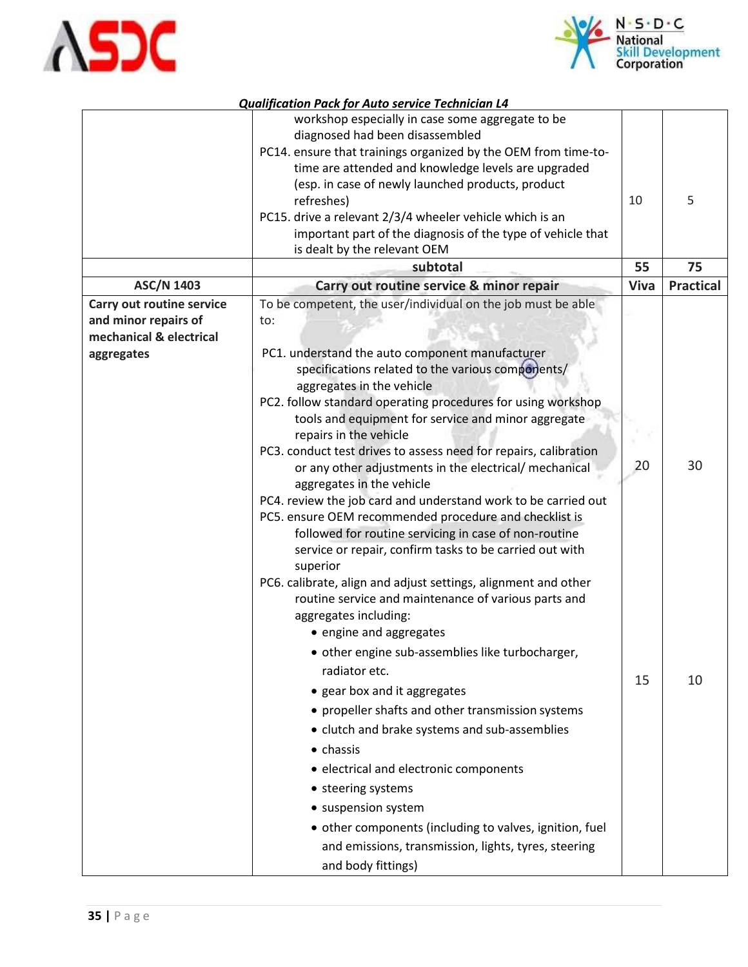



| 5<br>refreshes)<br>PC15. drive a relevant 2/3/4 wheeler vehicle which is an<br>important part of the diagnosis of the type of vehicle that<br>is dealt by the relevant OEM<br>55<br>subtotal                                                                                                                                                                                                                                                                                                                                                                                                                                                                                                                                                                                                                                                                                                                                                                                                                                                                                                                                                                                                                                                                                                                                                                                                                                                                                                                       | 75               |
|--------------------------------------------------------------------------------------------------------------------------------------------------------------------------------------------------------------------------------------------------------------------------------------------------------------------------------------------------------------------------------------------------------------------------------------------------------------------------------------------------------------------------------------------------------------------------------------------------------------------------------------------------------------------------------------------------------------------------------------------------------------------------------------------------------------------------------------------------------------------------------------------------------------------------------------------------------------------------------------------------------------------------------------------------------------------------------------------------------------------------------------------------------------------------------------------------------------------------------------------------------------------------------------------------------------------------------------------------------------------------------------------------------------------------------------------------------------------------------------------------------------------|------------------|
| <b>ASC/N 1403</b><br>Carry out routine service & minor repair<br>Viva                                                                                                                                                                                                                                                                                                                                                                                                                                                                                                                                                                                                                                                                                                                                                                                                                                                                                                                                                                                                                                                                                                                                                                                                                                                                                                                                                                                                                                              | <b>Practical</b> |
| To be competent, the user/individual on the job must be able<br>Carry out routine service<br>and minor repairs of<br>to:<br>mechanical & electrical<br>PC1. understand the auto component manufacturer<br>aggregates<br>specifications related to the various components/<br>aggregates in the vehicle<br>PC2. follow standard operating procedures for using workshop<br>tools and equipment for service and minor aggregate<br>repairs in the vehicle<br>PC3. conduct test drives to assess need for repairs, calibration<br>20<br>or any other adjustments in the electrical/ mechanical<br>aggregates in the vehicle<br>PC4. review the job card and understand work to be carried out<br>PC5. ensure OEM recommended procedure and checklist is<br>followed for routine servicing in case of non-routine<br>service or repair, confirm tasks to be carried out with<br>superior<br>PC6. calibrate, align and adjust settings, alignment and other<br>routine service and maintenance of various parts and<br>aggregates including:<br>• engine and aggregates<br>• other engine sub-assemblies like turbocharger,<br>radiator etc.<br>15<br>• gear box and it aggregates<br>• propeller shafts and other transmission systems<br>• clutch and brake systems and sub-assemblies<br>$\bullet$ chassis<br>• electrical and electronic components<br>• steering systems<br>• suspension system<br>• other components (including to valves, ignition, fuel<br>and emissions, transmission, lights, tyres, steering | 30<br>10         |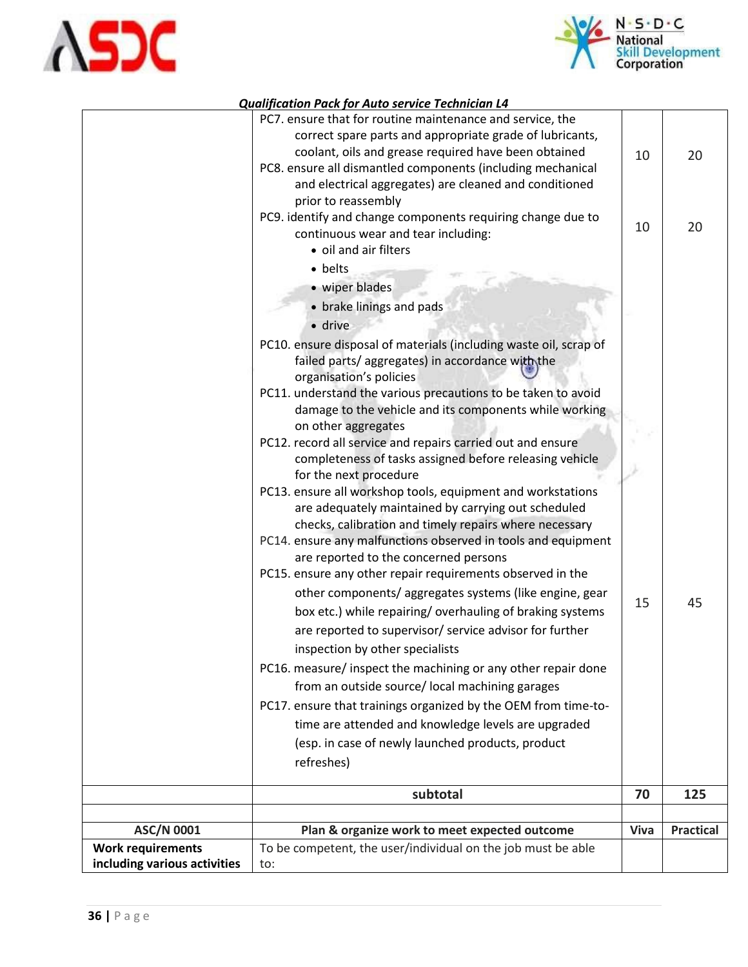



|                              | PC7. ensure that for routine maintenance and service, the<br>correct spare parts and appropriate grade of lubricants,                           |      |                  |
|------------------------------|-------------------------------------------------------------------------------------------------------------------------------------------------|------|------------------|
|                              | coolant, oils and grease required have been obtained                                                                                            | 10   | 20               |
|                              | PC8. ensure all dismantled components (including mechanical                                                                                     |      |                  |
|                              | and electrical aggregates) are cleaned and conditioned                                                                                          |      |                  |
|                              | prior to reassembly                                                                                                                             |      |                  |
|                              | PC9. identify and change components requiring change due to                                                                                     |      |                  |
|                              | continuous wear and tear including:                                                                                                             | 10   | 20               |
|                              | • oil and air filters                                                                                                                           |      |                  |
|                              | • belts                                                                                                                                         |      |                  |
|                              | • wiper blades                                                                                                                                  |      |                  |
|                              | • brake linings and pads                                                                                                                        |      |                  |
|                              | · drive                                                                                                                                         |      |                  |
|                              | PC10. ensure disposal of materials (including waste oil, scrap of<br>failed parts/aggregates) in accordance with the<br>organisation's policies |      |                  |
|                              | PC11. understand the various precautions to be taken to avoid                                                                                   |      |                  |
|                              | damage to the vehicle and its components while working                                                                                          |      |                  |
|                              | on other aggregates                                                                                                                             |      |                  |
|                              | PC12. record all service and repairs carried out and ensure                                                                                     |      |                  |
|                              | completeness of tasks assigned before releasing vehicle                                                                                         |      |                  |
|                              | for the next procedure                                                                                                                          |      |                  |
|                              | PC13. ensure all workshop tools, equipment and workstations                                                                                     |      |                  |
|                              | are adequately maintained by carrying out scheduled                                                                                             |      |                  |
|                              | checks, calibration and timely repairs where necessary                                                                                          |      |                  |
|                              | PC14. ensure any malfunctions observed in tools and equipment                                                                                   |      |                  |
|                              | are reported to the concerned persons                                                                                                           |      |                  |
|                              | PC15. ensure any other repair requirements observed in the                                                                                      |      |                  |
|                              | other components/ aggregates systems (like engine, gear                                                                                         | 15   | 45               |
|                              | box etc.) while repairing/overhauling of braking systems                                                                                        |      |                  |
|                              | are reported to supervisor/ service advisor for further                                                                                         |      |                  |
|                              | inspection by other specialists                                                                                                                 |      |                  |
|                              | PC16. measure/ inspect the machining or any other repair done                                                                                   |      |                  |
|                              | from an outside source/ local machining garages                                                                                                 |      |                  |
|                              | PC17. ensure that trainings organized by the OEM from time-to-                                                                                  |      |                  |
|                              | time are attended and knowledge levels are upgraded                                                                                             |      |                  |
|                              | (esp. in case of newly launched products, product                                                                                               |      |                  |
|                              | refreshes)                                                                                                                                      |      |                  |
|                              |                                                                                                                                                 |      |                  |
|                              | subtotal                                                                                                                                        | 70   | 125              |
|                              |                                                                                                                                                 |      |                  |
| <b>ASC/N 0001</b>            | Plan & organize work to meet expected outcome                                                                                                   | Viva | <b>Practical</b> |
| <b>Work requirements</b>     | To be competent, the user/individual on the job must be able                                                                                    |      |                  |
| including various activities | to:                                                                                                                                             |      |                  |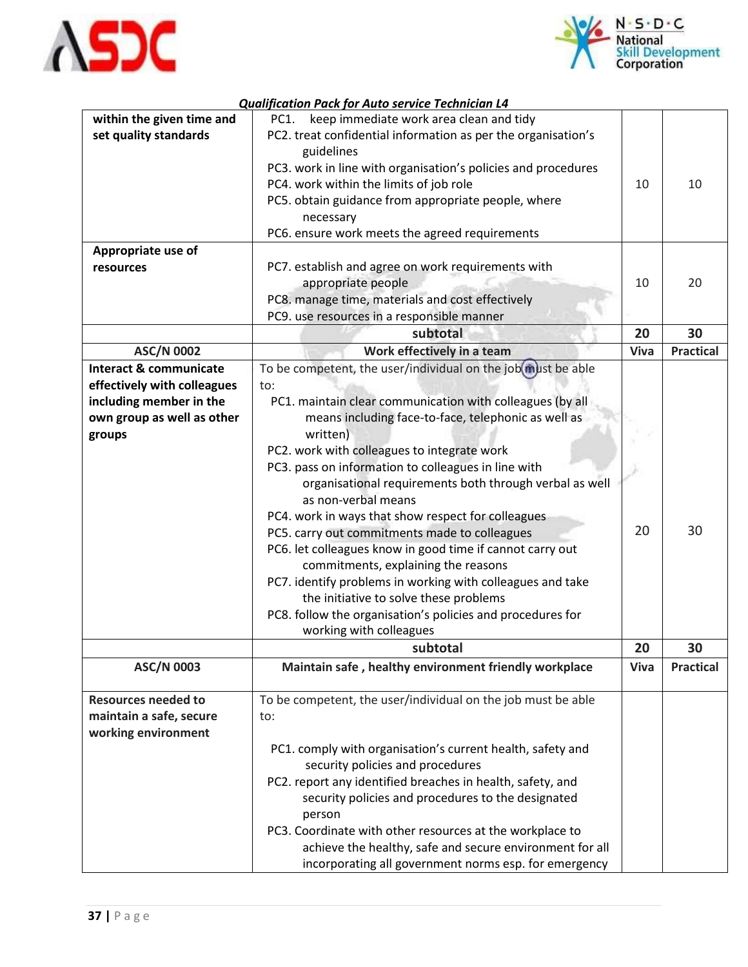



|                                   | Quanfication I ack for Auto scribic Technician E <del>x</del> |      |                  |
|-----------------------------------|---------------------------------------------------------------|------|------------------|
| within the given time and         | keep immediate work area clean and tidy<br>PC1.               |      |                  |
| set quality standards             | PC2. treat confidential information as per the organisation's |      |                  |
|                                   | guidelines                                                    |      |                  |
|                                   | PC3. work in line with organisation's policies and procedures |      |                  |
|                                   | PC4. work within the limits of job role                       | 10   | 10               |
|                                   |                                                               |      |                  |
|                                   | PC5. obtain guidance from appropriate people, where           |      |                  |
|                                   | necessary                                                     |      |                  |
|                                   | PC6. ensure work meets the agreed requirements                |      |                  |
| Appropriate use of                |                                                               |      |                  |
| resources                         | PC7. establish and agree on work requirements with            |      |                  |
|                                   | appropriate people                                            | 10   | 20               |
|                                   | PC8. manage time, materials and cost effectively              |      |                  |
|                                   |                                                               |      |                  |
|                                   | PC9. use resources in a responsible manner                    |      |                  |
|                                   | subtotal                                                      | 20   | 30               |
| <b>ASC/N 0002</b>                 | Work effectively in a team                                    | Viva | <b>Practical</b> |
| <b>Interact &amp; communicate</b> | To be competent, the user/individual on the job(must be able  |      |                  |
| effectively with colleagues       | to:                                                           |      |                  |
| including member in the           | PC1. maintain clear communication with colleagues (by all     |      |                  |
| own group as well as other        | means including face-to-face, telephonic as well as           |      |                  |
| groups                            | written)                                                      |      |                  |
|                                   |                                                               |      |                  |
|                                   | PC2. work with colleagues to integrate work                   |      |                  |
|                                   | PC3. pass on information to colleagues in line with           |      |                  |
|                                   | organisational requirements both through verbal as well       |      |                  |
|                                   | as non-verbal means                                           |      |                  |
|                                   | PC4. work in ways that show respect for colleagues            |      |                  |
|                                   | PC5. carry out commitments made to colleagues                 | 20   | 30               |
|                                   | PC6. let colleagues know in good time if cannot carry out     |      |                  |
|                                   | commitments, explaining the reasons                           |      |                  |
|                                   | PC7. identify problems in working with colleagues and take    |      |                  |
|                                   |                                                               |      |                  |
|                                   | the initiative to solve these problems                        |      |                  |
|                                   | PC8. follow the organisation's policies and procedures for    |      |                  |
|                                   | working with colleagues                                       |      |                  |
|                                   | subtotal                                                      | 20   | 30               |
| <b>ASC/N 0003</b>                 | Maintain safe, healthy environment friendly workplace         | Viva | <b>Practical</b> |
|                                   |                                                               |      |                  |
| <b>Resources needed to</b>        | To be competent, the user/individual on the job must be able  |      |                  |
| maintain a safe, secure           | to:                                                           |      |                  |
| working environment               |                                                               |      |                  |
|                                   |                                                               |      |                  |
|                                   | PC1. comply with organisation's current health, safety and    |      |                  |
|                                   | security policies and procedures                              |      |                  |
|                                   | PC2. report any identified breaches in health, safety, and    |      |                  |
|                                   | security policies and procedures to the designated            |      |                  |
|                                   | person                                                        |      |                  |
|                                   | PC3. Coordinate with other resources at the workplace to      |      |                  |
|                                   | achieve the healthy, safe and secure environment for all      |      |                  |
|                                   |                                                               |      |                  |
|                                   | incorporating all government norms esp. for emergency         |      |                  |